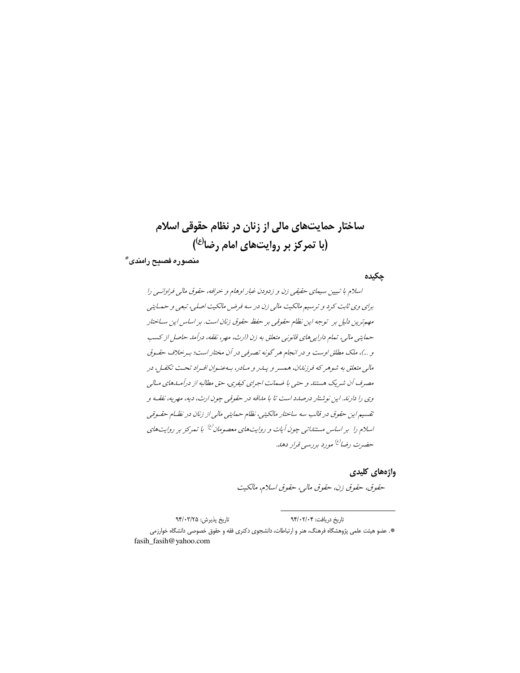# ساختار حمایتهای مالی از زنان در نظام حقوقی اسلام (با تمرکز بر روایتهای امام رضا<sup>(ع)</sup>)

منصوره فصيح رامندى\*

چکیدہ

اسلام با تبيين سيماي حقيقي زن و زدودن غبار اوهام و خرافه، حقوق مالي فراوانسي را برای وي ثابت كرد و ترسيم مالكيت مالي زن در سه فرض مالكيت اصلي، تبعي و حمليتي مهم ترین دلیل بر توجه این نظام حقوقی بر حفظ حقوق زنان است. بر اساس این ساختار حمايتي مالي، تمام دارايي هاي قانوني متعلق به زن (ارث، مهر، نفقه، درآمد حاصل از كسب و …)، ملک مطلق اوست و در انجام هر گونه تصرفی در آن مختار است؛ به خلاف حقهوق مالي متعلق به شوهر كه فرزندان، همسر و پيدر و ميادر، بيه عنوان افيراد تحت تكفيل، در مصرف أن شریک هستند و حتبی با ضمانت اجرای کیفری، حق مطالبه از درآمـلهای مـالی وي را دارند. اين نوشتار درصدد است تا با مداقه در حقوقي چون ارث، ديه، مهريه، نفقـه و تقسیم این حقوق در قالب سه ساختار مالکیتی، نظام حمایتی مالی از زنان در نظـام حقـوقی اسلام را بر اساس مستنداتی چون آیات و روایتهای معصومان<sup>(ع)</sup> با تمرکز بر روایتهای حضرت رضا<sup>(ع)</sup> مورد بررسی قرار دهد.

واژههای کلیدی

حقوق، حقوق زن، حقوق مالي، حقوق اسلام، مالكيت

تاريخ پذيرش: ٩۴/٠٣/٢۵ تاريخ دريافت: ٩۴/٠٢/٠۴ \*. عضو هیئت علمی پژوهشگاه فرهنگ، هنر و ارتباطات، دانشجوی دکتری فقه و حقوق خصوصی دانشگاه خوارزمی fasih\_fasih@yahoo.com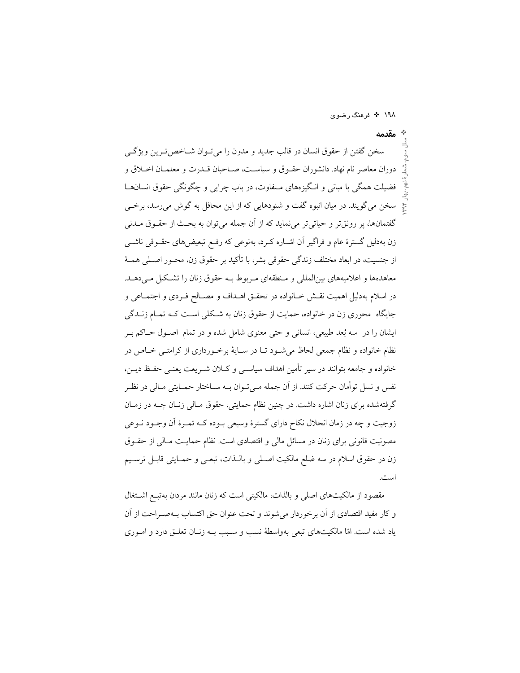۱۹۸ ❖ فرهنگ رضوی

\* مقدمه سخن گفتن از حقوق انسان در قالب جدید و مدون را می تـوان شــاخص تـرین ویژگــی دوران معاصر نام نهاد. دانشوران حقـوق و سياسـت، صـاحبان قــدرت و معلمــان اخــلاق و فضیلت همگی با مبانی و انگیزههای مـتفاوت، در باب چرایی و چگونگی حقوق انسانهـا سخن می گویند. در میان انبوه گفت و شنودهایی که از این محافل به گوش میرسد، برخی گفتمانها، پر رونقتر و حیاتی تر می نماید که از أن جمله می توان به بحـث از حقــوق مــدنی زن بهدلیل گسترهٔ عام و فراگیر آن اشـاره کـرد، بهنوعی که رفـع تبعیضهای حقــوقی ناشــی از جنسیت، در ابعاد مختلف زندگی حقوقی بشر، با تأکید بر حقوق زن، محــور اصــلی همــهٔ معاهدهها و اعلامیههای بینالمللی و منطقهای مربوط بـه حقوق زنان را تشکیل مـی دهـد. در اسلام بهدلیل اهمیت نقش خـانواده در تحقـق اهـداف و مصـالح فـردی و اجتمـاعی و جایگاه محوری زن در خانواده، حمایت از حقوق زنان به شـکلی اسـت کـه تمـام زنــدگی ایشان را در سه بُعد طبیعی، انسانی و حتی معنوی شامل شده و در تمام اصـول حــاکم بــر نظام خانواده و نظام جمعی لحاظ می شـود تـا در سـایهٔ برخـورداری از کرامتـی خـاص در خانواده و جامعه بتوانند در سیر تأمین اهداف سیاسـی و کــلان شــریعت یعنــی حفــظ دیــن، نفس و نسل توأمان حرکت کنند. از آن جمله مـیتـوان بــه ســاختار حمــایتی مــالی در نظـر گرفتهشده برای زنان اشاره داشت. در چنین نظام حمایتی، حقوق مـالی زنـان چــه در زمـان زوجیت و چه در زمان انحلال نکاح دارای گسترهٔ وسیعی بـوده کــه ثمـرهٔ اَن وجـود نــوعی مصونیت قانونی برای زنان در مسائل مالی و اقتصادی است. نظام حمایـت مـالی از حقـوق زن در حقوق اسلام در سه ضلع مالكيت اصـلى و بالــذات، تبعـي و حمــايتي قابــل ترسـيم است.

مقصود از مالکیتهای اصلی و بالذات، مالکیتی است که زنان مانند مردان بهتب اشتغال و كار مفيد اقتصادي از آن برخوردار مي شوند و تحت عنوان حق اكتساب بــهصـراحت از آن یاد شده است. امّا مالکیتهای تبعی بهواسطهٔ نسب و سـبب بـه زنـان تعلـق دارد و امـوری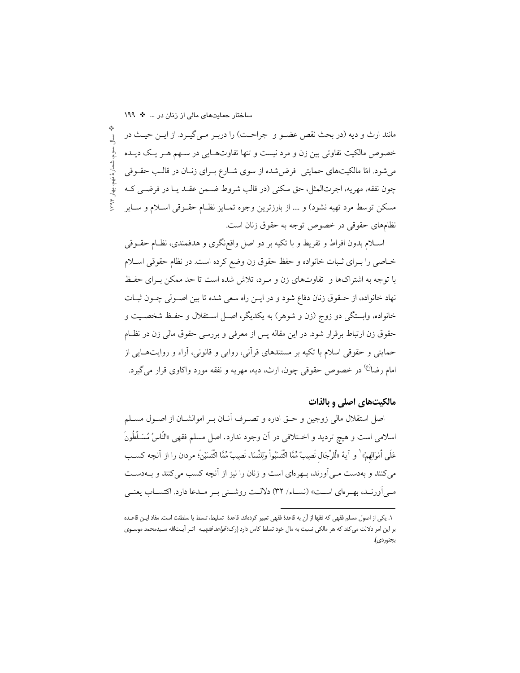ساختار حمایتهای مالی از زنان در ... \* ١٩٩

مانند ارث و دیه (در بحث نقص عضـو و جراحـت) را دربـر مـي&بـرد. از ايـن حيـث در  $\frac{1}{2}$ . سوم، شمارهٔ نهم، بهار ۱۳۹۴ خصوص مالکیت تفاوتی بین زن و مرد نیست و تنها تفاوتهـایی در سـهم هـر یـک دیـده می شود. امّا مالکیتهای حمایتی فرض شده از سوی شـارع بـرای زنـان در قالـب حقــوقی چون نفقه، مهريه، اجرتالمثل، حق سكني (در قالب شروط ضـمن عقـد يـا در فرضـي كـه مسكن توسط مرد تهيه نشود) و … از بارزترين وجوه تمـايز نظـام حقـوقي اسـلام و سـاير نظامِهای حقوقی در خصوص توجه به حقوق زنان است.

اسـلام بدون افراط و تفريط و با تكيه بر دو اصل واقع;گرى و هدفمندى، نظــام حقــوقى خـاصي را بـراي ثـبات خانواده و حفظ حقوق زن وضع كرده است. در نظام حقوقي اسـلام با توجه به اشتراکها و تفاوتهای زن و مـرد، تلاش شده است تا حد ممکن بـرای حفـظ نهاد خانواده، از حـقوق زنان دفاع شود و در ايـن راه سعى شده تا بين اصـولى چــون ثبــات خانواده، وابستگی دو زوج (زن و شوهر) به یکدیگر، اصـل اسـتقلال و حفـظ شخصـیت و حقوق زن ارتباط برقرار شود. در این مقاله پس از معرفی و بررسی حقوق مالی زن در نظـام حمایتی و حقوقی اسلام با تکیه بر مستندهای قرآنی، روایی و قانونی، آراء و روایتهـایی از امام رضا<sup>(ع)</sup> در خصوص حقوقی چون، ارث، دیه، مهریه و نفقه مورد واکاوی قرار میگیرد.

## مالکیتهای اصلی و بالذات

اصل استقلال مالي زوجين و حــق اداره و تصــرف آنــان بــر اموالشــان از اصــول مســلم اسلامي است و هيچ ترديد و اخــتلافي در أن وجود ندارد. اصل مسلم فقهي «النَّاسُ مُسَــلِّطُونَ عَلَى أَمْوَالِهِمْ» ۚ و آية «لَّلرِّجَال نَصِيبٌ مِّمَّا اكْتَسَبُواْ وَلِلنِّسَاء نَصِيبٌ مِّمَّا اكْتَسَبْن؛ مردان را از آنجه كســـــ می کنند و بهدست مـی آورند، بـهرهای است و زنان را نیز از آنچه کسب می کنند و بـهدسـت مبي أو رنسد، بهـر ماي اسـت» (نســاء/ ٣٢) دلالـت روشــني بـر مـدعا دارد. اكتســاب يعنــي

١. يكي از اصول مسلم فقهي كه فقها از آن به قاعدهٔ فقهي تعبير كردهاند، قاعدهٔ تسليط، تسلط يا سلطنت است. مفاد ايـن قاعـده بر این امر دلالت می کند که هر مالکی نسبت به مال خود تسلط کامل دارد (رک؛ *قواعد فقهیـه* اثـر آیـتالله سـیدمحمد موسـوی بجنوردي).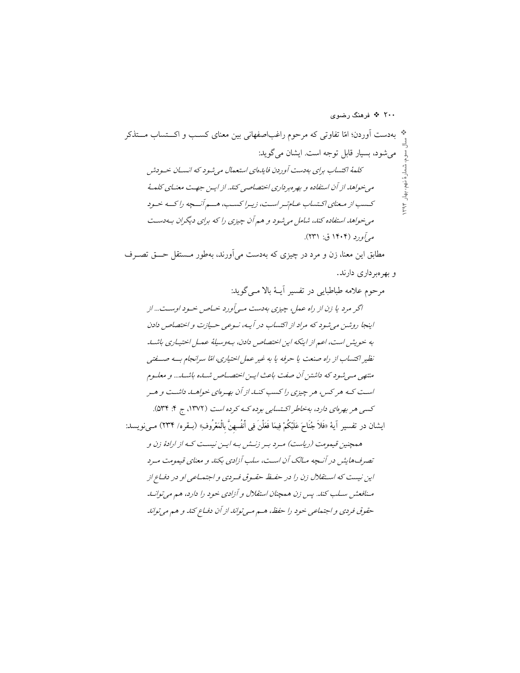۲۰۰ \* فرهنگ رضوی

مطابق این معنا، زن و مرد در چیزی که بهدست می آورند، بهطور مـستقل حـــق تصــرف و بهر مبر داري دارند.

مرحوم علامه طباطبايي در تفسير آيــهٔ بالا مــي گويد: اگر مرد یا زن از راه عمل، چیزی بهدست می آورد خیاص خود اوست... از اینجا روشن می شود که مراد از اکتساب در آیـه، نـوعی حـیازت و اختصاص دادن به خویش است، اعم از اینکه این اختصاص دادن، بهوسیلهٔ عمل اختیاری باشید نظیر اکتساب از راه صنعت یا حرفه یا به غیر عمل اختیاری، امّا سرانجام به صنعتبی متنهی می شود که داشتن آن صفت باعث ایـن اختصـاص شـاـه باشـاـ... و معلـوم است کـه هر کس، هر چیزی را کسب کنـلـ از آن بهـرهای خواهـلــ داشـت و هـر کسی هر بهرمای دارد، بهخاطر اکتسابی بوده کـه کرده است (۱۳۷۲، ج ۴: ۵۳۴). ايشان در تفسير آية «فَلاَ جُنَاحَ عَلَيْكُمْ فِيمَا فَعَلْنَ فِي أَنفُسِهِنَّ بِالْمَعْرُوفِ» (بـقره/ ٢٣۴) مـىنويسد: همچنین قیمومت (ریاست) مرد بـر زنــش بـه ایـن نیسـت کـه از ارادهٔ زن و تصرف هایش در آنسچه مبالک آن است، سلب آزادی بکند و معنای قیمومت میرد این نیست که استقلال زن را در حفظ حقیوق فیردی و اجتماعی او در دفیاع از منافعش سلب کند. پس زن همچنان استقلال و آزادی خود را دارد، هم می توانید حقوق فردي و اجتماعي خود را حفظ، هـم مـي تواند از آن دفساع كند و هم مي تواند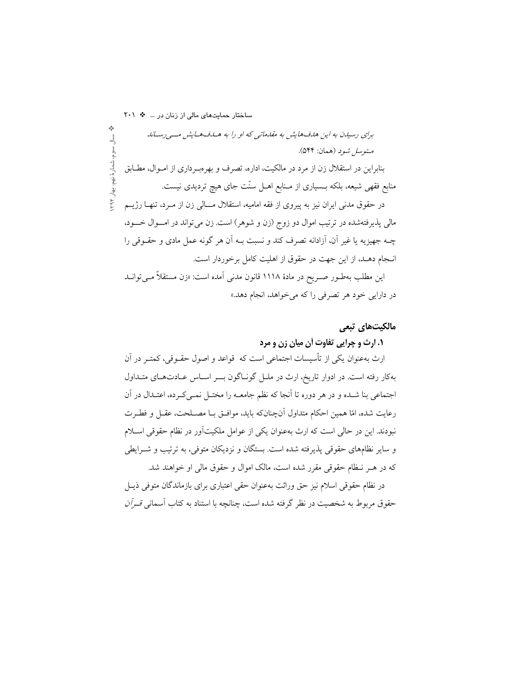ساختار حمایتهای مالی از زنان در ... \* ٢٠١ برای رسیدن به این هدف هایش به مقدماتی که او را به هساف هسایش مسی رستاند متوسل شود (همان: ۵۴۴). شمارهٔ نهم بنابراین در استقلال زن از مرد در مالکیت، اداره، تصرف و بهرهبـرداری از امـوال، مطـابق منابع فقهی شیعه، بلکه بــسیاری از مــنابع اهــل سنّت جای هیچ تردیدی نیست. بهار ١٩۴ در حقوق مدنی ایران نیز به پیروی از فقه امامیه، استقلال مـــالی زن از مــرد، تنهــا رژیــم مالي پذيرفتهشده در ترتيب اموال دو زوج (زن و شوهر) است. زن مي تواند در امــوال خـــود، چـه جهیزیه یا غیر آن، آزادانه تصرف کند و نسبت بــه آن هر گونه عمل مادی و حقــوقی را انـجام دهـد، از اين جهت در حقوق از اهليت كامل برخوردار است. این مطلب بهطـور صـریح در مادهٔ ۱۱۱۸ قانون مدنی آمده است: «زن مستقلاً مـی توانـد در دارایی خود هر تصرفی را که میخواهد، انجام دهد.»

## مالكيتهاى تبعى

#### **۱. ارث و چرایی تفاوت آن میان زن و مرد**

ارث بهعنوان یکی از تأسیسات اجتماعی است که قواعد و اصول حقــوقی، کمتــر در اَن بهکار رفته است. در ادوار تاریخ، ارث در ملـل گونـاگون بـــر اسـاس عــادتهـای متـداول اجتماعی بنا شـده و در هر دوره تا أنجا كه نظم جامعــه را مختــل نمــی كــرده، اعتــدال در أن رعايت شده، امّا همين احكام متداول أنچنانكه بايد، موافـق بــا مصــلحت، عقــل و فطــرت نبودند. این در حالی است که ارث بهعنوان یکی از عوامل ملکیتآور در نظام حقوقی اسـلام و سایر نظامهای حقوقی پذیرفته شده است. بستگان و نزدیکان متوفی، به ترتیب و شــرایطی که در هـر نـظام حقوقي مقرر شده است، مالک اموال و حقوق مالي او خواهند شد.

در نظام حقوقی اسلام نیز حق وراثت بهعنوان حقی اعتباری برای بازماندگان متوفی ذیــل حقوق مربوط به شخصیت در نظر گرفته شده است، چنانچه با استناد به کتاب آسمانی *قــرآن*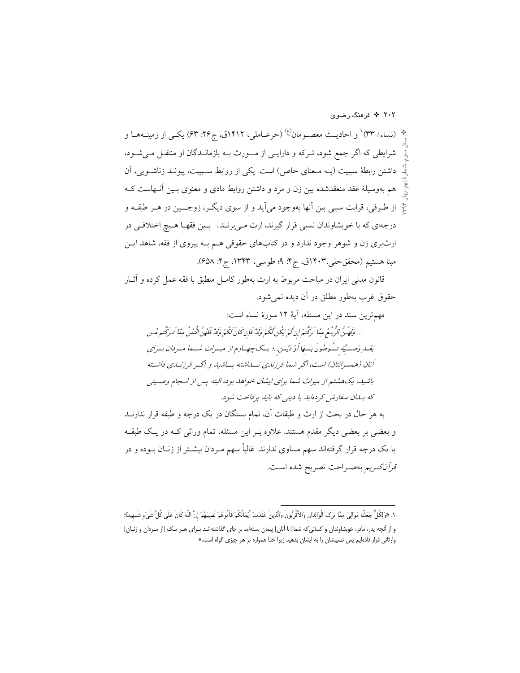بْه (نساء/ ٣٣) و احاديـث معصـومان<sup>(ع)</sup> (حرعـاملي، ١٤١٢ق، ج٢٤: ۶۳) يكـي از زمينــههــا و شرایطی که اگر جمع شود، تـرکه و دارایـی از مـــورث بــه بازمانــدگان او منتقــل مــیشــود، داشتن رابطهٔ سببیت (بـه مـعنای خاص) است. یکی از روابط سـببیت، پیونــد زناشــویی، آن هم بهوسیلهٔ عقد منعقدشده بین زن و مرد و داشتن روابط مادی و معنوی بـین آنـهاست کـه محٌ از طـرفي، قرابت سببي بين آنها بهوجود مي]يد و از سوى ديگــر، زوجـــين در هــر طبقــه و درجهاي كه با خويشاوندان نسبي قرار گيرند، ارث مــ ٍ برنــد. بــين فقهــا هــيج اختلافــي در ارثبری زن و شوهر وجود ندارد و در کتابهای حقوقی هـم بـه پیروی از فقه، شاهد ایــن مبنا هستيم (محققحلي،١٤٠٣ق، ج۴: ٩؛ طوسي، ١٣۴٣، ج٢: ۶۵۸).

۲۰۲ \* فرهنگ رضوی

قانون مدنی ایران در مباحث مربوط به ارث بهطور کامـل منطبق با فقه عمل کرده و آثــار حقوق غرب بهطور مطلق در آن ديده نمي شود.

به هر حال در بحث از ارث و طبقات آن، تمام بستگان در یک درجه و طبقه قرار ندارنــد و بعضی بر بعضی دیگر مقدم هستند. علاوه بـر این مسئله، تمام وراثی کـه در یـک طبقـه یا یک درجه قرار گرفتهاند سهم مساوی ندارند. غالباً سهم مـردان بیشـتر از زنــان بــوده و در قرآن كريم بهصراحت تصريح شده است.

١. «وَلِكُلٍّ جَعَلْنَا مَوَالِيَ مِمَّا تَرَكَ الْوَالِدَانِ وَالأَقْرَبُونَ وَاَلَّذِينَ عَقَدَتْ أيْمَانُكُمْ فَآتُوهُمْ نَصِيبَهُمْ إِنَّ اللّهَ كَانَ عَلَى كُلِّ شَيْءٍ شَـهِيدًا؛ و از آنچه پدر، مادر، خویشاوندان و کسانی که شما [با آنان] پیمان بستهاید بر جای گذاشتهانـد بـرای هـر یـک [از مـردان و زنــان] وارثانی قرار دادهایم پس نصیبشان را به ایشان بدهید زیرا خدا همواره بر هر چیزی گواه است.»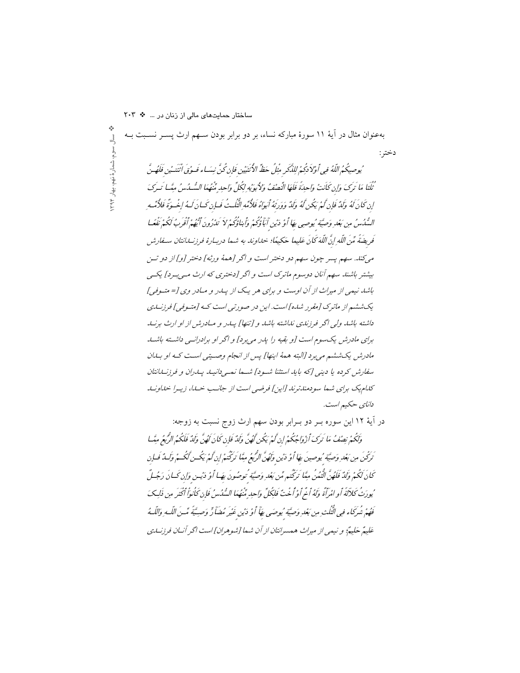داشته باشد ولی اگر فرزندی نداشته باشد و [تنها] پیدر و میدرش از او ارث برنید برای مادرشر، یک سوم است [و بقیه را یا ر می برد] و اگر او برادرانسی داشته باشب .<br>مادرش یکششه می برد [البته همهٔ این*ها] پس از انجام وص*یته <sub>،</sub> است کـه او بـایان سفارش کرده یا دینی [که باید استثنا شود] شها نمی دانیه ییدران و فرزنسانتان كنام يك براي شما سودمندترند [اين] فرضي است از جانب خسا، زييرا خلاونيد دانای حکیم است. در آية ١٢ اين سوره بـر دو بـرابر بودن سهم ارث زوج نسبت به زوجه:

وَلَكُمْ بِصْفُ مَا تَرَكَ أَزْوَاجُكُمْ إِنْ لَمْ يَكُنْ لَهُنَّ وَلَدٌ فَإِن كَانَ لَهُنَّ وَلَدٌ فَلَكُمُ الرُّبعُ مِنَّسا تَرَكْنَ مِن بَعْدِ وَصِيَّة يُوصِينَ بِهَا أَوْ دَيْنِ وَلَهُنَّ الرُّبعُ مِثَّا تَرَكْتُمْ إِن َكُمْ يَكُت لَكُسمْ وَكَسُّدٌ فَسانِ كَانَ كَكُمْ وَلَدٌ فَلَهُنَّ الْنُعُنُ مِثَّا تَرَكْتُم مِّن بَعْدِ وَصِيَّةٍ نُوصُونَ بِهَا أَوْ دْيسن وَإِن كَسانَ رَجُسلٌ يُورَثُ كَلاَلَةَ أَوِ امْرَأَةً وَلَهُ أَنْحٍ أَوْ أُخْتٌ فَلِكُلِّ وَإِحِدٍ مُّنْهُمَا السُّلُسُ فَإِن كَأْنوأ أَكْثَرَ مِن ذَلِكَ فَهُمْ شُرِكَاء فِي الْنُكْبُ مِن بَعْدِ وَصِيَّةٍ مُوصَى بِهَاْ أَوْ دَيْنِ غَيْرِ مُضَاً رٍّ وَصِيَّةٍ مَّسْ اللّهِ وَاللّهُ عَلِيعٌ حَلِيعٌ؛ و نبيعي از ميراث همسرانتان از آن شها [شوهران] است اگر آنسان فرزنسايي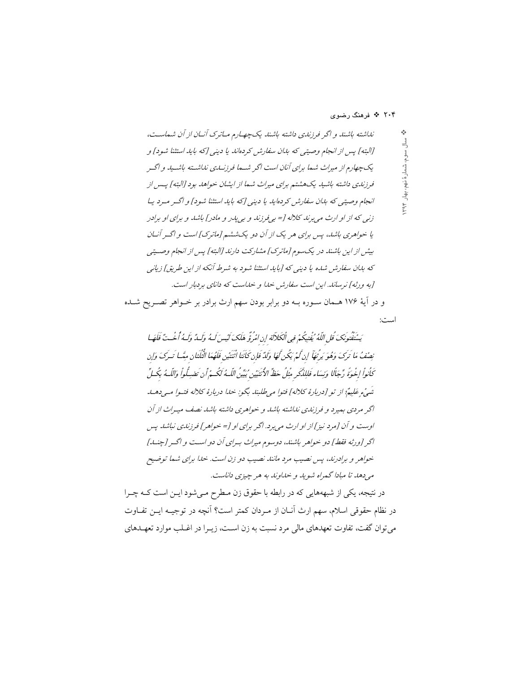۲۰۴ <sup>پ</sup>ه فرهنگ رضوي

تیه اسائسته باشته و اگر فرزندی داشته باشمنا یک چهیارم میاترک آنان از آن شماسیت،  
\[  
\n
$$
\frac{1}{2}
$$
  
\n
$$
\frac{1}{2}
$$
  
\n
$$
\frac{1}{2}
$$
  
\n
$$
\frac{1}{2}
$$
  
\n
$$
\frac{1}{2}
$$
  
\n
$$
\frac{1}{2}
$$
  
\n
$$
\frac{1}{2}
$$
  
\n
$$
\frac{1}{2}
$$
  
\n
$$
\frac{1}{2}
$$
  
\n
$$
\frac{1}{2}
$$
  
\n
$$
\frac{1}{2}
$$
  
\n
$$
\frac{1}{2}
$$
  
\n
$$
\frac{1}{2}
$$
  
\n
$$
\frac{1}{2}
$$
  
\n
$$
\frac{1}{2}
$$
  
\n
$$
\frac{1}{2}
$$
  
\n
$$
\frac{1}{2}
$$
  
\n
$$
\frac{1}{2}
$$
  
\n
$$
\frac{1}{2}
$$
  
\n
$$
\frac{1}{2}
$$
  
\n
$$
\frac{1}{2}
$$
  
\n
$$
\frac{1}{2}
$$
  
\n
$$
\frac{1}{2}
$$
  
\n
$$
\frac{1}{2}
$$
  
\n
$$
\frac{1}{2}
$$
  
\n
$$
\frac{1}{2}
$$
  
\n
$$
\frac{1}{2}
$$
  
\n
$$
\frac{1}{2}
$$
  
\n
$$
\frac{1}{2}
$$
  
\n
$$
\frac{1}{2}
$$
  
\n
$$
\frac{1}{2}
$$
  
\n
$$
\frac{1}{2}
$$
  
\n
$$
\frac{1}{2}
$$
  
\n
$$
\frac{1}{2}
$$
  
\n
$$
\frac{1}{2}
$$
  
\n
$$
\frac{1}{2}
$$
  
\n
$$
\frac{1}{2}
$$
  
\n
$$
\frac{1}{2}
$$
  
\n
$$
\frac{1}{2}
$$
  
\n
$$
\frac{1}{2}
$$
  
\n
$$
\frac{1}{2}
$$
  
\n<math display="block</p>

در نتیجه، یکی از شبهههایی که در رابطه با حقوق زن مـطرح مـیشود ایـن است کــه چــرا در نظام حقوقی اسلام، سهم ارث آنــان از مــردان کمتر است؟ آنچه در توجیــه ایــن تفــاوت می توان گفت، تفاوت تعهدهای مالی مرد نسبت به زن اسـت، زیـرا در اغـلب موارد تعهـدهای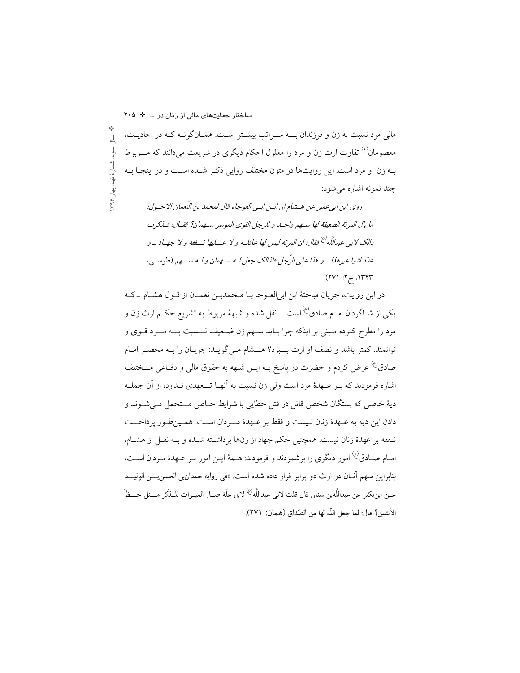ساختار حمایتهای مالی از زنان در ... \* ٢٠٥ مالی مرد نسبت به زن و فرزندان بــه مــراتب بیشـتر اسـت. همـانگونـه کـه در احادیـث،  $\frac{1}{2}$ ، سوم، شمار هٔ نهم، بهار ۱۳۹۴ معصومان<sup>(ع)</sup> تفاوت ارث زن و مرد را معلول احکام دیگری در شریعت می،دانند که مــــربوط بـه زن ً و مرد است. این روایتها در متون مختلف روایی ذکـر شـده اسـت و در اینجـا بـه چند نمونه اشاره می شود:

روى ابن ابيء مير عن هـشام ان ابـن ابـي العوجاء قال لمحمد بن الّنعمان الا حـول: ما بال المرئة الضعيفة لها سهم واحله و للرجل القوى الموسر سهمان؟ فقـال: فـذكرت ذلاك لا ہے عبداللّٰه<sup>(ع)</sup> فقال: ان العرنَّه ليس لها عاقلـه و لا عـــليها نـــفقه و لا جهــاد \_و عدّد اشيا غير هذا \_و هذا على الرّ جل فلذالك جعل لـه سهمان و لـه سـهم (طوسـي،  $(111.77)$  77'

در این روایت، جریان مباحثهٔ ابن ابیالعـوجا بـا مـحمدبـن نعمـان از قـول هشـام ــ کـه یکی از شــاگردان امــام صادق<sup>(ع)</sup> است ــ نقل شده و شبههٔ مربوط به تشریع حکــم ارث زن و مرد را مطرح کـرده مـبني بر اينکه چرا بـايد سـهم زن ضـعيف نـــسبت بـــه مـــرد قــوي و توانمند، كمتر باشد و نصف او ارث بسبرد؟ هسشام مـي گويــد: جريــان را بــه محضــر امــام صادق<sup>ع)</sup> عرض کردم و حضرت در پاسخ بــه ایــن شبهه به حقوق مال<sub>ی</sub> و دفــاعی مـــختلف اشاره فرمودند که بـر عـهدهٔ مرد است ولي زن نسبت به آنهـا تــعهدي نـدارد، از آن جملــه ديهٔ خاصي كه بستگان شخص قاتل در قتل خطايي با شرايط خــاص مـــتحمل مــي شــوند و دادن اين ديه به عـهدهٔ زنان نـيست و فقط بر عـهدهٔ مــردان اسـت. همـين طـور پرداخـــت نَّـفقه بر عهدهٔ زنان نیست. همچنین حکم جهاد از زنها برداشـته شـده و بـه نقـل از هشـام، امـام صـادق<sup>(ع)</sup> امور ديگري را برشمردند و فرمودند: هـمهٔ ايـن امور بـر عـهدهٔ مـردان اسـت، بنابراین سهم آنـان در ارث دو برابر قرار داده شده است. «في روايه حمدانين الحسنبـــن الوليـــد عـن ابنِبكير عن عبداللَّهين سنان قال قلت لابي عبداللَّه<sup>(ع)</sup> لاي علَّة صــار الميـراث للــذِّكر مـــثل حـــظّ الأنثيين؟ قال: لما جعل اللَّه لها من الصّداق (همان: ٢٧١).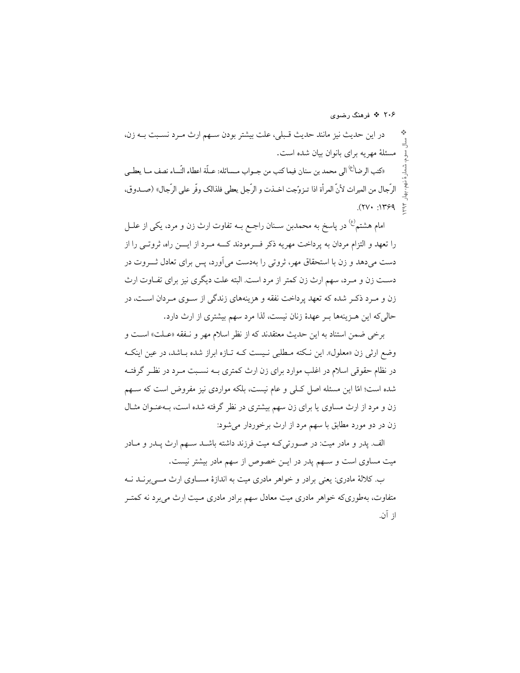۲۰۶ \* فرهنگ رضوی

در اين حديث نيز مانند حديث قـبلي، علت بيشتر بودن سـهم ارث مـرد نسـبت بــه زن، مسئلهٔ مهریه برای بانوان بیان شده است. «كتب الرضا<sup>(ع)</sup> الى محمد بن سنان فيما كتب من جــواب مــسائله: عــلّة اعطاء النّساء نصف مــا يعطــي الرِّجال من الميراث لأنَّ المرأة اذا تـزوَّجت اخــذت و الرِّجل يعطي فلذالك وفَّر على الرِّجال» (صــدوق،  $*$   $P571: 1779$ .

امام هشتم<sup>(ع)</sup> در پاسخ به محمدبن ســنان راجــع بــه تفاوت ارث زن و مرد، یکی از علــل را تعهد و التزام مردان به پرداخت مهریه ذکر فـــرمودند کــــه مــرد از ایــــن راه، ثروتـــی را از دست می دهد و زن با استحقاق مهر، ثروتی را بهدست می آورد، پس برای تعادل ثـــروت در دست زن و مـرد، سهم ارث زن کمتر از مرد است. البته علت دیگری نیز برای تفـاوت ارث زن و مـرد ذکـر شده که تعهد پرداخت نفقه و هزینههای زندگی از سـوی مـردان اسـت، در حالی که این هـزینهها بـر عهدهٔ زنان نیست، لذا مرد سهم بیشتری از ارث دارد.

برخي ضمن استناد به اين حديث معتقدند كه از نظر اسلام مهر و نـفقه «عـلت» اسـت و وضع ارثی زن «معلول». این نکته مـطلبی نـیست کـه تـازه ابراز شده بـاشد، در عین اینکـه در نظام حقوقی اسلام در اغلب موارد برای زن ارث کمتری بــه نســبت مــرد در نظــر گرفتــه شده است؛ امّا این مسئله اصل کـلی و عام نیست، بلکه مواردی نیز مفروض است که سـهم زن و مرد از ارث مساوی یا برای زن سهم بیشتری در نظر گرفته شده است، بـهعنـوان مثـال زن در دو مورد مطابق با سهم مرد از ارث برخوردار می شود:

الف. پدر و مادر میت: در صورتی کـه میت فرزند داشته باشـد سـهم ارث پـدر و مـادر میت مساوی است و سـهم پدر در ایـن خصوص از سهم مادر بیشتر نیست.

ب. کلالهٔ مادری: یعنی برادر و خواهر مادری میت به اندازهٔ مســاوی ارث مـــی برنــد نــه متفاوت، بهطوریکه خواهر مادری میت معادل سهم برادر مادری مـیت ارث میبرد نه کمتـر از آن.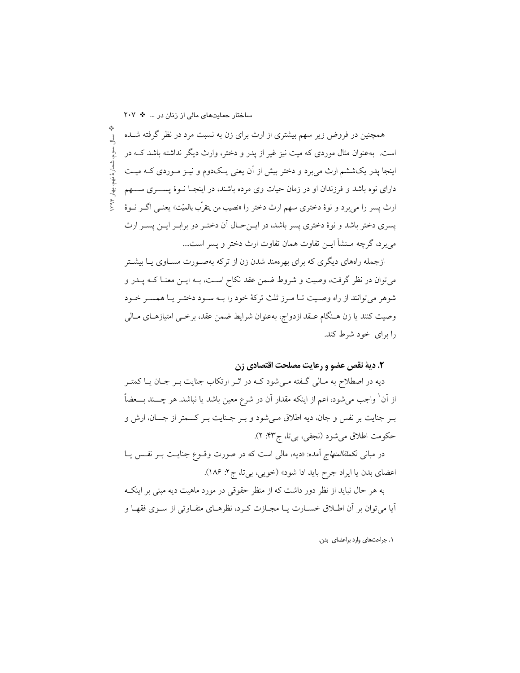ساختار حمایتهای مالی از زنان در ... \* ٢٠٧

همچنین در فروض زیر سهم بیشتری از ارث برای زن به نسبت مرد در نظر گرفته شــده 긬 است. بهعنوان مثال موردی که میت نیز غیر از یدر و دختر، وارث دیگر نداشته باشد کـه در شمارهٔ نهم، بهار اینجا پدر یکششم ارث می برد و دختر بیش از آن یعنی یـکدوم و نیـز مـوردی کـه میـت دارای نوه باشد و فرزندان او در زمان حیات وی مرده باشند، در اینجـا نــوهٔ پســــری ســــهم ارث پسر را مي برد و نوهٔ دختري سهم ارث دختر را «نصيب من يتقرّب بالميّت» يعنــي اگــر نــوهٔ يسري دختر باشد و نوهٔ دختري پسر باشد، در ايـنحـال آن دختـر دو برابـر ايـن پسـر ارث مي برد، گرچه مـنشأ ايــن تفاوت همان تفاوت ارث دختر و پسر است....

ازجمله راههای دیگری که برای بهرهمند شدن زن از ترکه بهصورت مسـاوی یـا بیشـتر میتوان در نظر گرفت، وصیت و شروط ضمن عقد نکاح اسـت، بــه ایــن معنــا کــه پــدر و شوهر می توانند از راه وصیت تـا مـرز ثلث ترکهٔ خود را بـه سـود دختـر یـا همسـر خـود وصیت کنند یا زن هـنگام عــقد ازدواج، بهعنوان شرایط ضمن عقد، برخــی امتیازهــای مــالی را برای خود شرط کند.

#### ۲. دیهٔ نقص عضو و رعایت مصلحت اقتصادی زن

دیه در اصطلاح به مـالی گـفته مـیشود کـه در اثـر ارتکاب جنایت بـر جـان یـا کمتـر از آن ٰ واجب میشود، اعم از اینکه مقدار آن در شرع معین باشد یا نباشد. هر چـــند بـــعضاً بـر جنايت بر نفس و جان، ديه اطلاق مـي شود و بـر جـنايت بـر كــمتر از جـــان، ارش و حكومت اطلاق مي شود (نجفي، بي تا، ج۴۳: ۲).

در مبان*ی تکملةالمنهاج* آمده: «دیه، مال<sub>ی</sub> است که در صورت وقــوع جنایــت بــر نفــس یــا اعضاي بدن يا ايراد جرح بايد ادا شود» (خويبي، بي تا، ج ٢: ١٨۶).

به هر حال نباید از نظر دور داشت که از منظر حقوقی در مورد ماهیت دیه مبنی بر اینک اّیا می توان بر اّن اطـلاق خســارت یــا مجــازت کــرد، نظرهــای متفــاوتی از ســوی فقهــا و

٠. جراحتهای وارد براعضای بدن.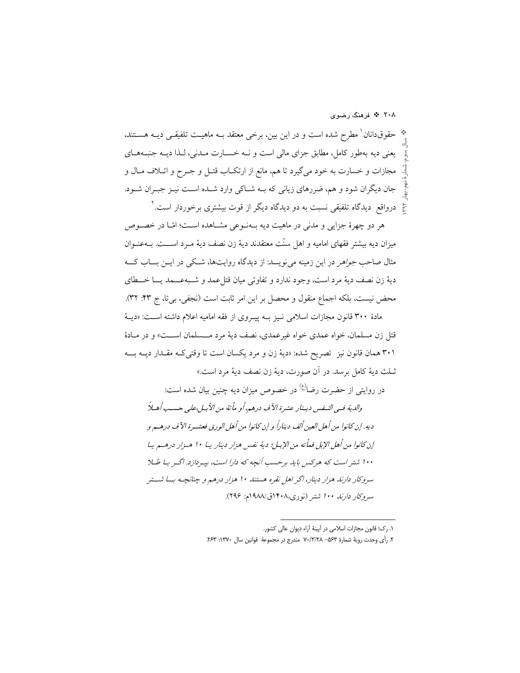به حقوقدانان ٰ مطرح شده است و در این بین، برخی معتقد بــه ماهیــت تلفیقــی دیــه هســتند، يعني ديه بهطور كامل، مطابق جزاي مالي است و نــه خســارت مــدني، لـذا ديــه جنبــههــاي مجازات و خسارت به خود میگیرد تا هم، مانع از ارتکـاب قتـل و جـرح و اتـلاف مـال و جان دیگران شود و هم، ضررهای زیانی که بـه شـاکی وارد شـده اسـت نیـز جبـران شـود. حٌ ٍ درواقع دیدگاه تلفیقی نسبت به دو دیدگاه دیگر از قوت بیشتری برخوردار است. <sup>۲</sup>

هر دو چهرهٔ جزایی و مدنی در ماهیت دیه بـهنـوعی مشــاهده اسـت؛ امّـا در خصــوص ميزان ديه بيشتر فقهاي اماميه و اهل سنّت معتقدند ديهٔ زن نصف ديهٔ مـرد اســـت. بــهعنـوان مثال صاحب *جواهر* در این زمینه می نویسد: از دیدگاه روایتها، شکی در ایــن بـــاب کـــه ديهٔ زن نصف ديهٔ مرد است، وجود ندارد و تفاوتي ميان قتل عمد و شـبهعــمد يــا خــطاي محض نيست، بلكه اجماع منقول و محصل بر اين امر ثابت است (نجفي، بي تا، ج ۴۳: ۳۲).

مادهٔ ۳۰۰ قانون مجازات اسلامی نـیز بــه پیــروی از فقه امامیه اعلام داشته اســت: «دیــهٔ قتل زن مسلمان، خواه عمدي خواه غيرعمدي، نصف ديهٔ مرد مـــسلمان اســـت» و در مــادهٔ ۳۰۱ همان قانون نیز تصریح شده: «دیهٔ زن و مرد یکسان است تا وقتی کـه مقـدار دیــه بـــه ثَّـلَّتْ ديهٔ كامل برسد. در آن صورت، ديهٔ زن نصف ديهٔ مرد است.»

در روايتي از حضرت رضا<sup>رع)</sup> در خصوص ميزان ديه چنين بيان شده است:

والدية فبي النيفس دينار عشرة الآ ف درهم، أو مأتة من الأبيل،على حسب أهيلاً ديه. إن كانوا من أهل العين ألف ديناراً و إن كانوا من أهل الورق فعشـرة الآف درهـم و إن كانوا من أهل الإبل فماً ته من الإبل؛ ديهٔ نفس هزار دينار يــا ١٠ هـزار درهــم يــا ۱۰۰ شتر است که هرکس باید برحسب آنچه که دارا است، بیه دازد. اگیر بیا طیلا سروکار دارند هزار دینار، اگر اهل نقره هستند ۱۰ هزار درهم و چنانچه بـــا شـــتر سروكار دارند ۱۰۰ شتر (نوري،۱۴۰۸ق/۱۹۸۸م: ۲۹۶).

١. رک؛ قانون مجازات اسلامی در آیینهٔ آراء دیوان عالی کشور.

٢. رأى وحدت روية شمارة ٥۶٣– ٧٠/٣/٢٨ مندرج در مجموعة قوانين سال ١٣٧٠: ٢۶٣.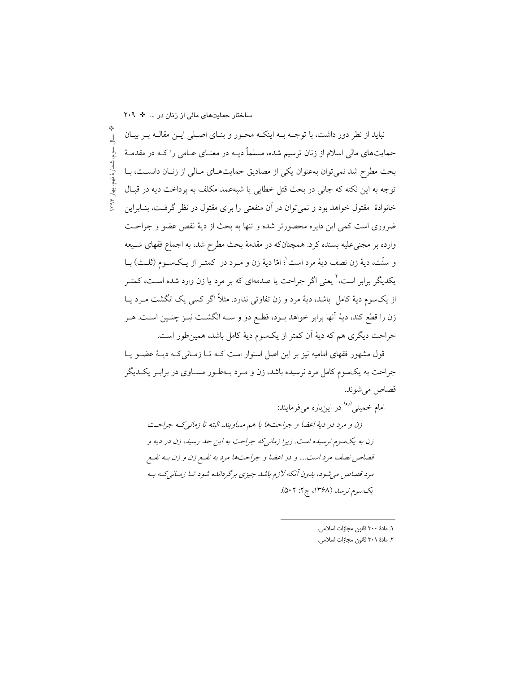ساختار حمایتهای مالی از زنان در ... \* ٢٠٩ نباید از نظر دور داشت، با توجـه بـه اینکـه محـور و بنـای اصـلی ایـن مقالـه بـر بیـان  $\frac{1}{2}$ اسوم، شمارهٔ نهم، بهار ۱۳۹۴ حمایتهای مالی اسلام از زنان ترسیم شده، مسلماً دیــه در معنــای عــامی را کــه در مقدمــهٔ بحث مطرح شد نمي توان بهعنوان يكي از مصاديق حمايتهاي مـالي از زنـان دانسـت، بـا توجه به اين نكته كه جاني در بحث قتل خطايي يا شبهعمد مكلف به يرداخت ديه در قبـال خانوادهٔ ً مقتول خواهد بود و نمی توان در آن منفعتی را برای مقتول در نظر گرفت، بنــابراین ضروري است كمي اين دايره محصورتر شده و تنها به بحث از ديهٔ نقص عضو و جراحت وارده بر مجنیعلیه بسنده کرد. همچنانکه در مقدمهٔ بحث مطرح شد، به اجماع فقهای شـیعه و سنّت، ديهٔ زن نصف ديهٔ مرد است ٰ؛ امّا ديهٔ زن و مـرد در كمتـر از يـكـســوم (ثلــث) بــا یکدیگر برابر است، کیعنی اگر جراحت یا صدمهای که بر مرد یا زن وارد شده اسـت، کمتـر از یکسوم دیهٔ کامل باشد، دیهٔ مرد و زن تفاوتی ندارد. مثلاً اگر کسی یک انگشت مـرد یــا زن را قطع کند، دیهٔ آنها برابر خواهد بـود، قطـع دو و ســه انگشــت نیــز چنــین اســت. هــر جراحت ديگري هم كه ديهٔ آن كمتر از يكسوم ديهٔ كامل باشد، همين طور است.

قول مشهور فقهای امامیه نیز بر این اصل استوار است کـه تــا زمــانی کــه دیــهٔ عضــو یــا جراحت به یکسوم کامل مرد نرسیده باشد، زن و مـرد بـهطـور مسـاوی در برابـر یکـدیگر قصاص مي شوند.

امام خميني <sup>(ره)</sup> در اينباره مي فرمايند:

زن و مرد در ديهٔ اعضا و جراحتها با هم مساويند، البته تا زماني كـه جراحـت زن به یکسوم نرسیده است. زیرا زمانی که جراحت به این حد رسید، زن در دیه و قصاص نصف مرد است.... و در اعضا و جراحتها مرد به نفسع زن و زن بـه نفسع مرد قصاص می شود، بدون آنکه لازم باشد چیزی برگردانده شود تا زمـانیکـه بـه یک سوم نرسد (۱۳۶۸، ج۲: ۵۰۲).

١. مادة ٣٠٠ قانون مجازات اسلامي.

٢. مادة ٣٠١ قانون مجازات اسلامي.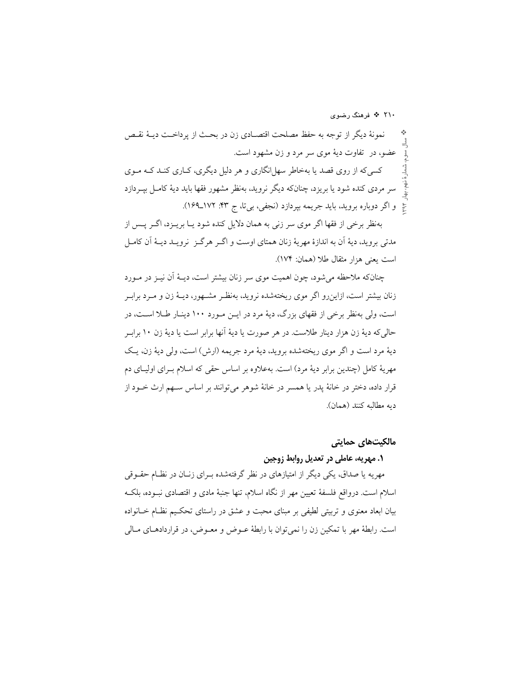۲۱۰ \* فرهنگ رضوی

نمونهٔ دیگر از توجه به حفظ مصلحت اقتصـادی زن در بحـث از پرداخـت دیــهٔ نقـص عضو، در تفاوت ديهٔ موي سر مرد و زن مشهود است. کسی که از روی قصد یا بهخاطر سهل انگاری و هر دلیل دیگری، کــاری کنــد کــه مــوی سر مردی کنده شود یا بریزد، چنانکه دیگر نروید، بهنظر مشهور فقها باید دیهٔ کامـل بپــردازد حٌ و اگر دوباره بروید، باید جریمه بپردازد (نجفی، بیتا، ج ۴۳: ۱۷۲\_۱۶۹).

بهنظر برخی از فقها اگر موی سر زنی به همان دلایل کنده شود یـا بریــزد، اگــر پــس از مدتی بروید، دیهٔ اَن به اندازهٔ مهریهٔ زنان همتای اوست و اگـر هرگـز نرویـد دیـهٔ اَن کامـل است يعني هزار مثقال طلا (همان: ١٧۴).

چنانکه ملاحظه میشود، چون اهمیت موی سر زنان بیشتر است، دیـهٔ آن نیــز در مــورد زنان بیشتر است، ازاین٫رو اگر موی ریختهشده نروید، بهنظـر مشـهور، دیــهٔ زن و مــرد برابـر است، ولي بهنظر برخي از فقهاي بزرگ، ديهٔ مرد در ايـن مـورد ١٠٠ دينـار طـلا اسـت، در حالي كه ديهٔ زن هزار دينار طلاست. در هر صورت يا ديهٔ آنها برابر است يا ديهٔ زن ۱۰ براب ديهٔ مرد است و اگر موي ريختهشده برويد، ديهٔ مرد جريمه (ارش) است، ولي ديهٔ زن، يـک مهريهٔ كامل (چندين برابر ديهٔ مرد) است. بهعلاوه بر اساس حقى كه اسلام بـراي اوليــاي دم قرار داده، دختر در خانهٔ پدر یا همسر در خانهٔ شوهر میٍتوانند بر اساس سـهم ارث خــود از دىه مطالبه كنند (همان).

#### مالکیتھای حمایتی

### ٠. مهريه، عاملي در تعديل روابط زوجين

مهریه یا صداق، یکی دیگر از امتیازهای در نظر گرفتهشده بـرای زنـان در نظـام حقــوقی اسلام است. درواقع فلسفهٔ تعیین مهر از نگاه اسلام، تنها جنبهٔ مادی و اقتصادی نبـوده، بلکـه بیان ابعاد معنوی و تربیتی لطیفی بر مبنای محبت و عشق در راستای تحکیم نظـام خــانواده است. رابطهٔ مهر با تمکین زن را نمیٍ توان با رابطهٔ عــوض و معــوض، در قراردادهــای مــالی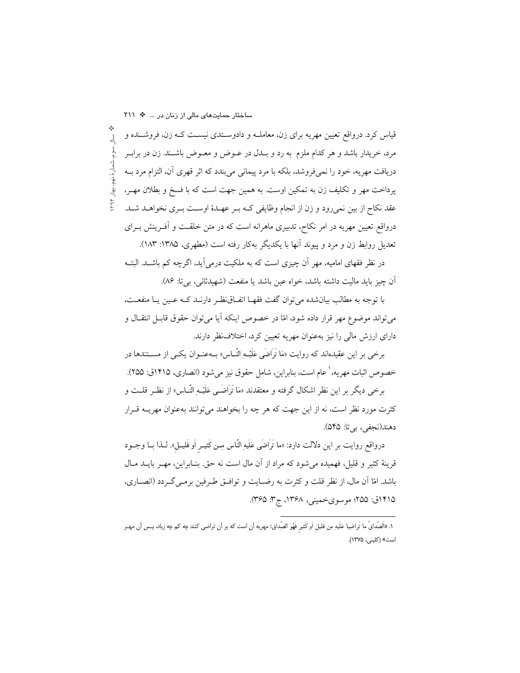قیاس کرد. درواقع تعیین مهریه برای زن، معاملــه و دادوســتدی نیســت کــه زن، فروشــنده و  $\frac{1}{2}$ سوم، شمارهٔ نهم، بهار ۱۳۹۴ مرد، خریدار باشد و هر کدام ملزم به رد و بـدل در عــوض و معــوض باشــند. زن در برابــر دریافت مهریه، خود را نمیفروشد، بلکه با مرد پیمانی می بندد که اثر قهری آن، التزام مرد بــه پرداخت مهر و تکلیف زن به تمکین اوست. به همین جهت است که با فسخ و بطلان مهـر، عقد نکاح از بین نمی رود و زن از انجام وظایفی کـه بـر عهـدهٔ اوسـت بـری نخواهـد شـد. درواقع تعیین مهریه در امر نکاح، تدبیری ماهرانه است که در متن خلقـت و آفــرینش بــرای تعدیل روابط زن و مرد و پیوند آنها با یکدیگر بهکار رفته است (مطهری، ۱۳۸۵: ۱۸۳).

در نظر فقهای امامیه، مهر اَن چیزی است که به ملکیت درمی اَید، اگرچه کم باشــد. البتــه آن چيز بايد ماليت داشته باشد، خواه عين باشد يا منفعت (شهيدثاني، بي تا: ٨۶).

با توجه به مطالب بيانشده مي توان گفت فقهـا اتفــاق نظـر دارنــد كــه عـين يــا منفعــت، میتواند موضوع مهر قرار داده شود، امّا در خصوص اینکه آیا میتوان حقوق قابـل انتقــال و دارای ارزش مالی را نیز بهعنوان مهریه تعیین کرد، اختلاف نظر دارند.

برخی بر این عقیدهاند که روایت «مَا تَرَاضَى عَلَیْـهِ النّــاس» بــهعنــوان یکــی از مســتندها در خصوص اثبات مهريه،' عام است، بنابراين، شامل حقوق نيز مي شود (انصاري، ١٢١۵ق: ٢٥۵).

برخی دیگر بر این نظر اشکال گرفته و معتقدند «مَا تَرَاضَــی عَلَیْــهِ النّــاس» از نظــر قلــت و کثرت مورد نظر است، نه از این جهت که هر چه را بخواهند می توانند بهعنوان مهریــه قــرار دهند(نجفي، بي تا: ۵۴۵).

درواقع روایت بر این دلالت دارد: «ما تَرَاضَى عَلَيهِ النّاس مِـن كَثيـر أو قَليـل». لــذا بــا وجــود قرينهٔ كثير و قليل، فهميده مي شود كه مراد از آن مال است نه حق بنـابراين، مهـر بايــد مــال باشد. امّا آن مال، از نظر قلت و كثرت به رضـايت و توافــق طـرفين برمــي گــردد (انصــاري، ۱۴۱۵ق: ۲۵۵؛ موسویخمینی، ۱۳۶۸، ج۳. ۳۶۵).

١. «اَلصِّداقُ ما تَراضِيا عَلَيهِ مِن قَليل اَو كَثير فَهُوَ الصِّداق؛ مهريه أن است كه بر أن تراضى كنند چه كم چه زياد، پـس أن مهـر است» (كليني، ١٣٧۵).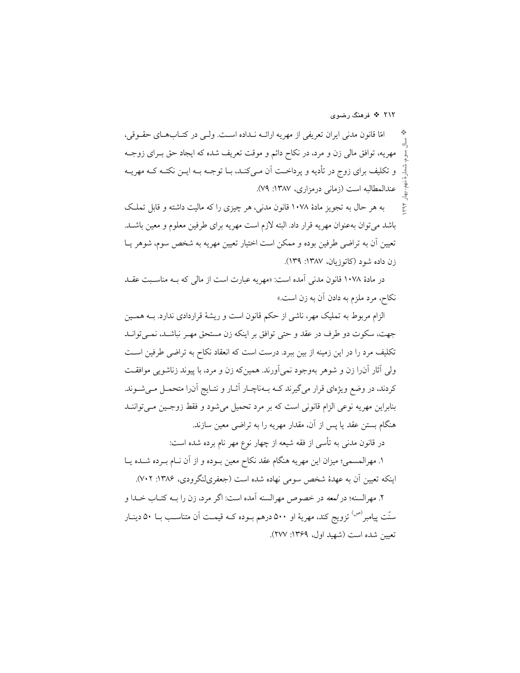امّا قانون مدنی ایران تعریفی از مهریه ارائــه نــداده اسـت. ولــی در کتــابهــای حقــوقی، مهریه، توافق مالی زن و مرد، در نکاح دائم و موقت تعریف شده که ایجاد حق بـرای زوجــه و تکلیف برای زوج در تأدیه و پرداخـت اَن مـیکنـد، بــا توجــه بــه ایــن نکتــه کــه مهریــه عندالمطالبه است (زمانی درمزاری، ۱۳۸۷: ۷۹).

به هر حال به تجويز مادهٔ ۱۰۷۸ قانون مدنی، هر چيزي را كه ماليت داشته و قابل تملك باشد می توان به عنوان مهریه قرار داد. البته لازم است مهریه برای طرفین معلوم و معین باشـد. تعيين أن به تراضى طرفين بوده و ممكن است اختيار تعيين مهريه به شخص سوم، شوهر يــا زن داده شود (کاتوزیان، ۱۳۸۷: ۱۳۹).

در مادهٔ ۱۰۷۸ قانون مدنی آمده است: «مهریه عبارت است از مالی که بـه مناسـبت عقــد نکاح، مرد ملزم به دادن أن به زن است.»

الزام مربوط به تملیک مهر، ناشی از حکم قانون است و ریشهٔ قراردادی ندارد. بــه همــین جهت، سکوت دو طرف در عقد و حتى توافق بر اينكه زن مستحق مهـر نباشـد، نمـى توانـد تکلیف مرد را در این زمینه از بین ببرد. درست است که انعقاد نکاح به تراضی طرفین اسـت ولی آثار آنرا زن و شوهر بهوجود نمیآورند. همینکه زن و مرد، با پیوند زناشویی موافقت کردند، در وضع ویژهای قرار میگیرند کـه بـهناچـار آثـار و نتـایج آن(ا متحمـل مـیشـوند. بنابراین مهریه نوعی الزام قانونی است که بر مرد تحمیل میشود و فقط زوجین می تواننـد هنگام بستن عقد یا پس از آن، مقدار مهریه را به تراضی معین سازند.

در قانون مدنی به تأسی از فقه شیعه از چهار نوع مهر نام برده شده است:

۱. مهرالمسمى؛ ميزان اين مهريه هنگام عقد نكاح معين بــوده و از آن نــام بــرده شــده يــا اینکه تعیین آن به عهدهٔ شخص سومی نهاده شده است (جعفریلنگرودی، ۱۳۸۶: ۷۰۲).

٢. مهرالسنه؛ در لمعه در خصوص مهرالسنه آمده است: اگر مرد، زن را بــه کتــاب خــدا و سنّت پیامبر<sup>(ص)</sup> تزویج کند، مهریهٔ او ۵۰۰ درهم بــوده کــه قیمــت آن متناســب بــا ۵۰ دینــار تعبين شده است (شهيد اول، ١٣۶٩: ٢٧٧).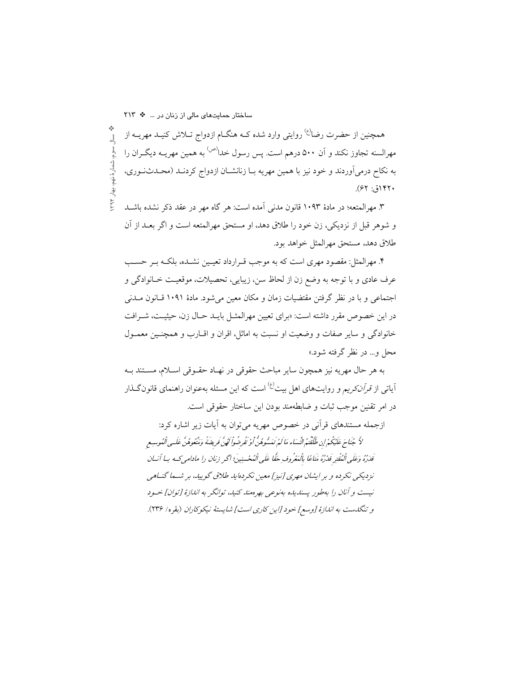ساختار حمایتهای مالی از زنان در ... \* ٢١٣

همچنین از حضرت رضا<sup>(ع)</sup> روایتی وارد شده کـه هنگــام ازدواج تــلاش کنیــد مهریــه از  $\frac{1}{2}$ ، سىوم، شىمار ة نهم، بهار ١٣٩٣. مهرالسنه تجاوز نکند و آن ۵۰۰ درهم است. پس رسول خدا<sup>(ص)</sup> به همین مهریــه دیگــران را به نکاح درمیآوردند و خود نیز با همین مهریه بـا زنانشـان ازدواج کردنـد (محـدثنـوری،  $(51.77)$ 

٣. مهرالمتعه؛ در مادهٔ ١٠٩٣ قانون مدنی آمده است: هر گاه مهر در عقد ذکر نشده باشـد و شوهر قبل از نزديكي، زن خود را طلاق دهد، او مستحق مهرالمتعه است و اگر بعــد از آن طلاق دهد، مستحق مهرالمثل خواهد بود.

۴. مهرالمثل: مقصود مهري است كه به موجب قـرارداد تعيـين نشـده، بلكـه بـر حسـب عرف عادي و با توجه به وضع زن از لحاظ سن، زيبايي، تحصيلات، موقعيت خـانوادگي و اجتماعی و با در نظر گرفتن مقتضیات زمان و مکان معین میشود. مادهٔ ۱۰۹۱ قـانون مــدنی در این خصوص مقرر داشته است: «برای تعیین مهرالمثـل بایـد حـال زن، حیثیـت، شـرافت خانوادگی و سایر صفات و وضعیت او نسبت به اماثل، اقران و اقــارب و همچنــین معمــول محل و… در نظر گرفته شود.»

به هر حال مهريه نيز همچون ساير مباحث حقوقي در نهـاد حقـوقي اسـلام، مسـتند بـه آیات<sub>ی</sub> از *قرآن کریم و* روایتهای اهل بیت<sup>(ع)</sup> است که این مسئله بهعنوان راهنمای قانون *گ*ـذار در امر تقنين موجب ثبات و ضابطهمند بودن اين ساختار حقوقي است.

ازجمله مستندهای قرآنی در خصوص مهریه می توان به آیات زیر اشاره کرد: لاَّ جُنَاحَ عَلَيْكُمْ إِن طَلَّقْتُم النِّسَاء مَا لَمْ تَعَسُّوهُنَّ أَوْ تَفْرِضُواْ لَهُنَّ فَريضَةً وَمَتُّعُوهُنَّ عَلَى الْعُوسِع قْدَرُهُ وَعَلَى ٱلْمُقْتِرِ قَدْرُهُ مَنَاعًا بِٱلْمَعْرُوفِ حَقًّا عَلَى ٱلْمُعْسِنِينَ؛ اكحر زنان را مادامى كبه بسا أنسان نزدیکی نکرده و بر ایشان مهری [نیز] معین نکردهاید طلاق گویید، بر شـما گنــاهی نيست و آنان را بهطور پسنديده بهنوعي بهره مند كنيد، توانگر به اندازهٔ [توان] خـود و تنگلست به اندازهٔ [وسع] خود [این کاری است] شایستهٔ نیکوکاران (بقره/ ۲۳۶).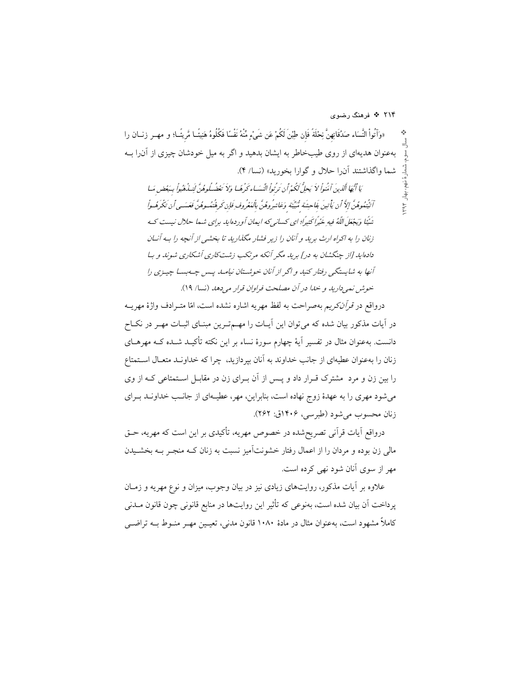۲۱۴ \* فرهنگ رضوی

بهار ۲۹۴

«وَآتُواْ النَّسَاء صَدُقَاتِهِنَّ نِحْلَةً فَإِن طِبْنَ لَكُمْ عَن شَيْءٍ مِّنْهُ نَفْسًا فَكُلُوهُ هَنِيئًــا مَّريئًــا؛ و مهــر زنــان را ÷ بهعنوان هدیهای از روی طیبخاطر به ایشان بدهید و اگر به میل خودشان چیزی از آن را بـه شما واگذاشتند آن را حلال و گوارا بخورید» (نسا/ ۴).

مَا أَيْمَا ٱلَّذِينَ آمَنُواْ لاَ يَحِلُّ كَجُدْ أَن تَدُّبُواْ النِّسَاء كَهُ هَيا وَلاَ تَعْضُلُوهُنَّ لَيَسْدُهُواْ سَعْض مَيا آتُيْتُعُوهُنَّ إِلاَّ أَن يَأْتِينَ بِفَاحِشَة مُّبَيَّنَة وَعَاشرُوهُنَّ بِالْعَعُرُوفِ فَإِن كَرِهُتُهُ وهُنَّ فَعَسَـى أَن تَكْرَهُـواْ شَنْيًا وَيَجْعَلَ اللَّهُ فِيهِ خَيْراً كَثِيرًا؛ اي كسانيركه ايمان أوردهايا. ب<sub>ز</sub>اي شها حلال نيست كه زنان را به اکراه ارث برید و آنان را زیر فشار مگذارید تا بخشی از آنچه را به آنان دادهاید [از چنگشان به در] برید مگر آنکه مرتکب زشتکاری آشکاری شوند و ب آنها به شایستگی رفتار کنید و اگر از آنان خوشتان نیامله پس چه بسا چیـزی را خوش نمي داريد و خدا در آن مصلحت فراوان قرار مي دهد (نسا/ ١٩).

درواقع در *قرآنکریم* بهصراحت به لفظ مهریه اشاره نشده است، امّا متـرادف واژهٔ مهریــه در آیات مذکور بیان شده که می توان این آیـات را مهــمتـرین مبنـای اثبـات مهـر در نکـاح دانست. بهعنوان مثال در تفسیر آیهٔ چهارم سورهٔ نساء بر این نکته تأکیـد شـده کـه مهرهــای زنان را بهعنوان عطیهای از جانب خداوند به آنان بیردازید. چرا که خداونـد متعـال اسـتمتاع را بین زن و مرد ً مشترک قــرار داد و پــس از آن بــرای زن در مقابــل اســتمتاعی کــه از وی می شود مهری را به عهدهٔ زوج نهاده است، بنابراین، مهر، عطیـهای از جانـب خداونـد بـرای زنان محسوب مي شود (طبرسي، ۱۴۰۶ق: ۲۶۲).

درواقع آیات قرآنی تصریحشده در خصوص مهریه، تأکیدی بر این است که مهریه، حـق مالی زن بوده و مردان را از اعمال رفتار خشونتآمیز نسبت به زنان کـه منجـر بـه بخشـیدن مهر از سوی آنان شود نهی کرده است.

علاوه بر آیات مذکور، روایتهای زیادی نیز در بیان وجوب، میزان و نوع مهریه و زمــان ير داخت آن بيان شده است، بەنوعى كە تأثير اين روايتها در منابع قانونى چون قانون مــدنى کاملاً مشهود است، بهعنوان مثال در مادهٔ ۱۰۸۰ قانون مدنی، تعییین مهـر منـوط بـه تراضـی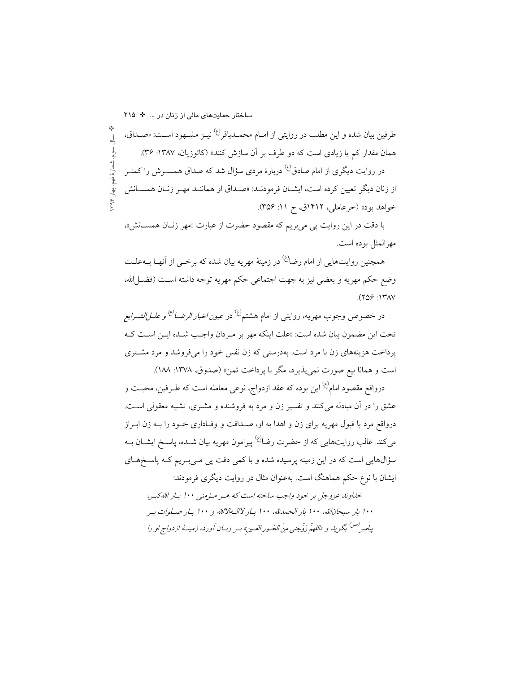طرفین بیان شده و این مطلب در روایتی از امــام محمــدباقر<sup>ع)</sup> نیــز مشــهود اســت: «صــداق،  $\frac{1}{2}$ ، سىم، شمار ة نهم، بهار ١٣٩٣. همان مقدار کم یا زیادی است که دو طرف بر آن سازش کنند» (کاتوزیان، ۱۳۸۷: ۳۶). در روایت دیگری از امام صادق<sup>(ع)</sup> دربارهٔ مردی سؤال شد که صداق همســرش را کمتــر از زنان دیگر تعیین کرده است، ایشـان فرمودنـد: «صـداق او هماننـد مهـر زنـان همسـانش

خواهد بود» (حرعاملي، ١٩١٢ق، ح ١١: ٣۵۶). با دقت در این روایت یی می بریم که مقصود حضرت از عبارت «مهر زنـان همسـانش».

مهرالمثل بوده است.

همچنین روایتهایی از امام رضا<sup>ع،</sup> در زمینهٔ مهریه بیان شده که برخــی از آنهــا بــهعلــت وضع حكم مهريه و بعضي نيز به جهت اجتماعي حكم مهريه توجه داشته اسـت (فضـــلالله،  $(709:17)$ 

در خصوص وجوب مهريه، روايتي از امام هشتم<sup>(ع)</sup> در *عيون اخبار الرضــا<sup>(ع)</sup> و علـــاللشــرايع* تحت اين مضمون بيان شده است: «علت اينكه مهر بر مـردان واجـب شـده ايـن اسـت كـه پرداخت هزینههای زن با مرد است. بهدرستی که زن نفس خود را میفروشد و مرد مشـتری است و همانا بيع صورت نمي يذيرد، مگر با يرداخت ثمن» (صدوق، ١٣٧٨: ١٨٨).

درواقع مقصود امام<sup>(ع)</sup> این بوده که عقد ازدواج، نوع<sub>ی</sub> معامله است که طـرفین، محبــت و عشق را در آن مبادله میکنند و تفسیر زن و مرد به فروشنده و مشتری، تشبیه معقولی است. درواقع مرد با قبول مهریه برای زن و اهدا به او، صـداقت و وفـاداری خــود را بــه زن ابــراز می کند. غالب روایتهایی که از حضرت رضا<sup>ع)</sup> پیرامون مهریه بیان شــده، پاســخ ایشــان بــه سؤالهایی است که در این زمینه پرسیده شده و با کمی دقت پی مـیبـریم کـه پاسـخهـای ایشان با نوع حکم هماهنگ است. بهعنوان مثال در روایت دیگری فرمودند:

خداوند عزوجل بر خود واجب ساخته است كه هـر مـؤمنى ١٠٠ بـار اللهكبـر، ۱۰۰ بار سبحانالله، ۱۰۰ بار الحمالله، ۱۰۰ بـار لاالـ1⁄4الله و ۱۰۰ بـار صـلوات بـر پيامبر<sup>(ص)</sup> بگوي*د و «اللهمّ ذوّجنى من الحُسود العَسين» بسر ذبسان آو*ده، زمينـهُ ازدواج او را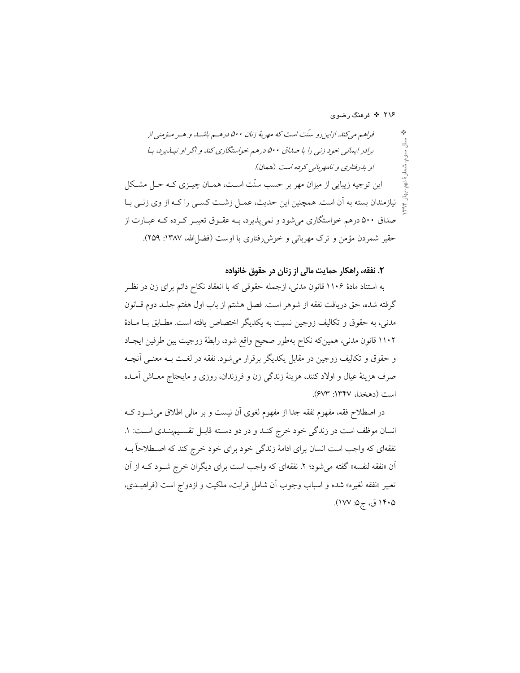۲۱۶ ÷ فرهنگ رضوی

۲. نفقه، راهکار حمایت مالی از زنان در حقوق خانواده

به استناد مادهٔ ۱۱۰۶ قانون مدنی، ازجمله حقوقی که با انعقاد نکاح دائم برای زن در نظـر گرفته شده، حق دریافت نفقه از شوهر است. فصل هشتم از باب اول هفتم جلـد دوم قــانون مدنی، به حقوق و تکالیف زوجین نسبت به یکدیگر اختصاص یافته است. مطـابق بـا مـادهٔ ۱۱۰۲ قانون مدنی، همینکه نکاح بهطور صحیح واقع شود، رابطهٔ زوجیت بین طرفین ایجـاد و حقوق و تکالیف زوجین در مقابل یکدیگر برقرار میشود. نفقه در لغـت بـه معنـی آنچـه صرف هزینهٔ عیال و اولاد کنند، هزینهٔ زندگی زن و فرزندان، روزی و مایحتاج معــاش آمــده است (دهخدا، ۱۳۴۷: ۶۷۳).

در اصطلاح فقه، مفهوم نفقه جداً از مفهوم لغوى آن نيست و بر مالي اطلاق مي شــود كــه انسان موظف است در زندگی خود خرج کنـد و در دو دسـته قابـل تقسـيم بنـدي اسـت: ١. نفقهای که واجب است انسان برای ادامهٔ زندگی خود برای خود خرج کند که اصـطلاحاً بــه ان «نفقه لنفسه» گفته می شود؛ ۲. نفقهای که واجب است برای دیگران خرج شـود کـه از آن تعبير «نفقه لغيره» شده و اسباب وجوب أن شامل قرابت، ملكيت و ازدواج است (فراهيــدى، ۱۴۰۵ ق، ج۵: ۱۷۷).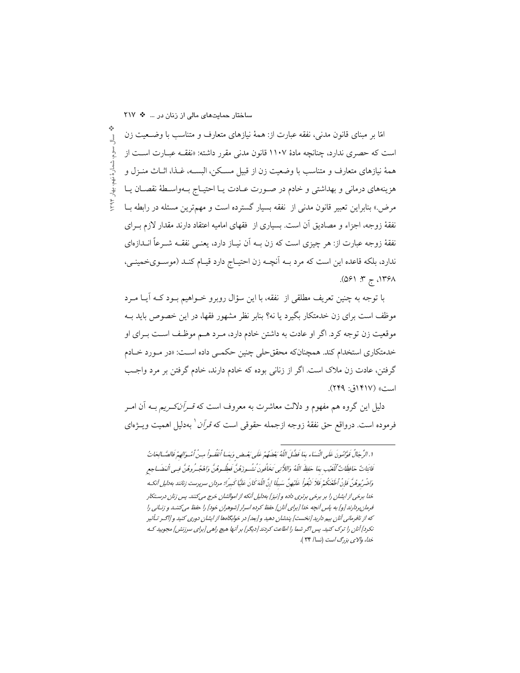ساختار حمایتهای مالی از زنان در ... \* ٢١٧

امًا بر مبنای قانون مدنی، نفقه عبارت از: همهٔ نیازهای متعارف و متناسب با وضـعیت زن سال سوم، شمارهٔ نهم، بهار ۱۳۹۴ است که حصری ندارد، چنانچه مادهٔ ۱۱۰۷ قانون مدنی مقرر داشته: «نفقــه عبــارت اســت از همهٔ نیازهای متعارف و متناسب با وضعیت زن از قبیل مسـکن، البســه، غــذا، اثــاث منــزل و هزينههاي درماني و بهداشتي و خادم در صـورت عـادت يـا احتيـاج بـهواسـطهٔ نقصـان يـا مرض.» بنابراین تعبیر قانون مدنی از نفقه بسیار گسترده است و مهمترین مسئله در رابطه بــا نفقهٔ زوجه، اجزاء و مصادیق آن است. بسیاری از فقهای امامیه اعتقاد دارند مقدار لازم بـرای نفقهٔ زوجه عبارت از: هر چیزی است که زن بــه اَن نیــاز دارد، یعنــی نفقــه شــرعاً انــدازهای ندارد، بلکه قاعده این است که مرد بــه اَنچــه زن احتیــاج دارد قیــام کنــد (موســویخمینــی،  $(091.77, 7.190)$ 

با توجه به چنین تعریف مطلقی از نفقه، با این سؤال روبرو خــواهیم بــود کــه آیــا مــرد موظف است برای زن خدمتکار بگیرد یا نه؟ بنابر نظر مشهور فقها، در این خصوص باید بــه موقعیت زن توجه کرد. اگر او عادت به داشتن خادم دارد، مـرد هــم موظـف اســت بــرای او خدمتکاری استخدام کند. همچنانکه محققحلی چنین حکمـی داده اسـت: «در مـورد خـادم گرفتن، عادت زن ملاک است. اگر از زنانی بوده که خادم دارند، خادم گرفتن بر مرد واجب است» (۱۴۱۷ق: ۲۴۹).

دلیل این گروه هم مفهوم و دلالت معاشرت به معروف است که *قـرآنکـریم* بــه آن امــر فرموده است. درواقع حق نفقهٔ زوجه ازجمله حقوقی است که *قرآن* ٰ بهدلیل اهمیت ویــژهای

١. الرِّ جَالُ قَوَّامُونَ عَلَى النِّسَاءِ بِمَا فَضَّلَ اللَّهُ بَعْضَهُمْ عَلَى بَعْيضٍ وَبِهَـا أنفُقه وا مين أمْبِ وَالصَّالِحَاتُ قَانِتَاتٌ حَافِظَاتٌ لِّلْعَيْبِ بِمَا حَفِظَ اللّهُ وَاللاَّتِي تَخَافُونَ ُنشُـوزَهُنَّ فَعِظُـوهُنَّ وَاهْجُـرُوهُنَّ فِـي الْمَضَـاجِعِ وَاضْرِبُوهُنَّ فَإِنْ أَطْغَنُكُمْ فَلاَ تَبْغُواْ عَلَيْهِنَّ سَبِيلًا إِنَّ اللَّهَ كَانَ عَلَيًّا كَبِيرًا؛ مردان سرپرست زنانند بهدليل آنكه خدا برخی از ایشان را بر برخی برتری داده و [نیز] بهدلیل آنکه از اموالشان خرج میکنند. پس زنان درستکار فرمانبردارند [و] به پاس آنچه خدا [برای آنان] حفظ کرده اسرار [شوهران خود] را حفظ میکنند و زنـانی را که از نافرمانی آنان بیم دارید [نخست] پندشان دهید و [بعد] در خوابگاهها از ایشان دوری کنید و [|گـر تـأثیر نکرد] آنان را ترک کنید. پس اگر شما را اطاعت کردند [دیگر] بر آنها هیچ راهی [برای سرزنش] مجویید کـه خدا، والای بزرگ است (نسا/ ۳۴ ).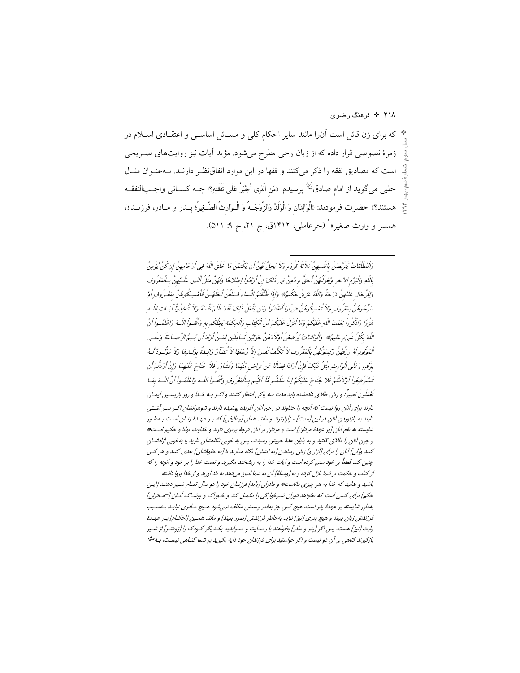۲۱۸ <sup>پ</sup>ه فرهنگ رضوي

\* که برای زن قائل است آن(ا مانند سایر احکام کلی و مســائل اساســی و اعتقــادی اســلام در زمرهٔ نصوصی قرار داده که از زبان وحی مطرح میشود. مؤید آیات نیز روایتهای صـریحی است كه مصاديق نفقه را ذكر مي كنند و فقها در اين موارد اتفاق نظـر دارنـد. بــهعنــوان مثــال حلبي مي گويد از امام صادق<sup>(ع)</sup> پرسيدم: «مَن الّذِي أُجْبَرُ عَلَى نَفَقَتِهِ؟؛ چــه كســاني واجــبالنفقــه هستند؟» حضرت فرمودند: «الْوَالِدَان وَ الْوَلَدُ وَالزَّوْجَــةُ وَ الْـوَارثُ الصَّــغِيرُ؛ پــدر و مــادر، فرزنــدان همسر و وارث صغیر» (حرعاملی، ۱۴۱۲ق، ج ۲۱، ح ۹: ۵۱۱).

وَٱلْمُطَلَّقَاتُ يَترَّبِصُنَ بِٱنْفُسِهِنَّ ثَلاَثَةَ قُرِوَءٍ وَلاَ يَجِلُّ لَهُنَّ أَن يَكْتَمْنَ مَا خَلَقَ اللَّهُ فِي أَرْحَامِهِنَّ إِن كُنَّ يُؤْمِنَّ بِاللّهِ وَٱلْيَوْمِ الآخِرِ وَيُعُولَنْهُنَّ أَحَقُّ بِرَدِّهِنَّ فِي ذَلِكَ إِنْ أَرَادُواْ إِصْلاَحًا وَلَهُنَّ مِثْلُ ٱلّذِي عَكَـيْهِنَّ بِبِالْمَعْرُوفِ وَلِلرِّجَالِ عَلَيْهِنَّ دَرَجَةٌ وَاللّهُ عَزِيزٌ حَكَيهٌ \* وَإِذَا طَلَّقْتُهُ النِّسَاء فَسَلِّعْنَ أجَلُهُتَّ فَأمْسِكُوهُنَّ بِمَعْسُروفٍ أَوْ سَرّْحُوهُنَّ بِمَعْرُوفٍ وَلاَ تُمْسِكُوهُنَّ ضِرِارًا لَّتَغْتَدُواْ وَمَن يَفْعَلْ ذَلِكَ فَقَدْ ظَلَمَ نَفْسَهُ وَلاَ تَّتخذُواْ آيَاتِ اللّهِ ر هُزُوًا وَاذْكُرُواْ بْعْمَتَ اللّهِ عَلَيْكُمْ وَمَا أَنزَلَ عَلَيْكُمْ مِّنَ الْكَتِابِ وَالْحِكْمَةِ يَطِحُكم بهِ وَأَتْصَواْ اللّهَ وَاعْلَمُواْ أَنّ اللّهَ بِكُلِّ شَيْءٍ عَلِيهٌ \* وَلَلوَلِلدَاتُ يُدِضِعُنَ أَوْلاَ دَهُنَّ حَوْلَيْنِ كَسامِكَيْنِ لِهَبْنُ أرَادَ أن يُستبِّر الرَّضَاعَةَ وَعلَسى الْمَوْلُودِ لَهُ رِزْقُهُنَّ وَكِسْوَتُهُنَّ بِالْمَعْرُوفِ لاَ تُكَلِّفُ نَفْسٌ إِلاَّ وُسْعَهَا لاَ تُضَاَرَّ وَالبِدَّةَ بِوَكِيدِهَا وَلاَ مَوْلُبُودٌ لَّهُ بِوَلِدِهِ وَعَلَى الْوَارِثِ مِثْلُ ذَلِكَ فَإِنْ أَرَادًا فِصَالًا عَن تَراض مُّنْهُمَا وَتَشَاوُر فَلاَ جُناحَ عَلَيْهِمَا وَإِنْ أَرَدْتُهْ أَن تَسْتَرْضِعُواْ أَوْلاَ ذَكُمْ فَلاَ جُنَاحَ عَلَيْكُمْ إِذَا سَلَّفْتُم مَّاۤ آتَيْتُم بِبِٱلْعَعُرُوفِ وَأَتْصُواْ اللَّهَ وَاعْلَمُواْ أَنَّ اللَّهَ بَعَبا تَعْمَلُونَ بَصِيرٌ؛ و زنان طلاق دادهشده بايد مدت سه پاكي انتظار كشند و اگـر بـه خـدا و روز بازپسـين ايمـان دارند برای آنان روا نیست که آنچه را خداوند در رحم آنان آفریده پوشیده دارند و شوهرانشان اگ رسر آشتی دارند به بازآوردن آنان در این [مدت] سزاوارترند و مانند همان [وظایفی] که بـر عهـدهٔ زنـان اسـت بـهطـور شايسته به نفع آنان [بر عهدهٔ مردان] است و مردان بر آنان درجهٔ برتری دارند و خداوند، توانا و حکیم است؛ و چون آنان را طلاق گفتید و به پایان عدهٔ خویش رسیدند، پس به خوبی نگاهشان دارید یا بهخوبی آزادشـان کنید و[لی] آنان را برای [آزار و] زیان رساندن [به ایشان] نگاه مدارید تا [به حقوقشان] تعدی کنید و هر کس چنین کند قطعاً بر خود ستم کرده است و آیات خدا را به ریشخند مگیرید و نعمت خدا را بر خود و آنچه را که

از كتاب و حكمت بر شما نازل كرده و به [وسيلهٔ] آن به شما اندرز مى دهد به ياد آوريد و از خدا پروا داشته باشید و بدانید که خدا به هر چیزی داناست# و مادران [باید] فرزندان خود را دو سال تمـام شـیر دهنـد [ایـن حکم] برای کسی است که بخواهد دوران شیرخوارگی را تکمیل کند و خـوراک و پوشـاک آنـان [=مـادران] بەطور شايسته بر عهدهٔ يدر است. هيچ كس جز بەقدر وسعش مكلف نمى شود هـيچ مـادرى نبايـد بـهسـبب فرزندش زيان ببيند و هيچ پدري [نيز] نبايد بهخاطر فرزندش [ضرر ببيند] و مانند همـين [احكـام] بـر عهـدهُ وارث [نیز] هست. پس اگر [پدر و مادر] بخواهند با رضـایت و صـوابدید یکـدیگر کـودک را [زودتـر] از شـیر بازگیرند گناهی بر آن دو نیست و اگر خواستید برای فرزندان خود دایه بگیرید بر شما گنـاهی نیسـت، بـها گ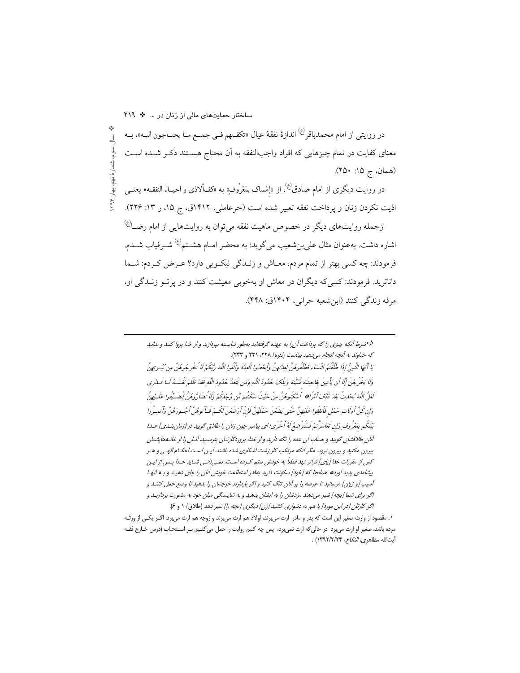ساختار حمایتهای مالی از زنان در ... \* ٢١٩ در روايتي از امام محمدباقر<sup>رع)</sup> اندازهٔ نفقهٔ عيال «تكفـيهم فـي جميــع مــا يحتــاجون اليــه»، بــه سال سوم، شمارهٔ نهم، بهار ۱۳۹۴ معنای کفایت در تمام چیزهایی که افراد واجبالنفقه به آن محتاج هسـتند ذکـر شـده اسـت (همان، ج ۱۵: ۲۵۰). در روایت دیگری از امام صادق<sup>(ع)</sup>، از «إمْساک بمَعْرُوف» به «کفألاذی و احیــاء النفقــه» یعنــی اذيت نكردن زنان و يرداخت نفقه تعبير شده است (حرعاملي، ١٣١٢ق، ج ١٥، ر ١٣: ٢٢۶). ازجمله روایتهای دیگر در خصوص ماهیت نفقه می توان به روایتهایی از امام رضــا<sup>(ع)</sup> اشاره داشت. بهعنوان مثال علىبن شعيب مىگويد: به محضر امـام هشـتم<sup>(ع)</sup> شــرفياب شــدم. فرمودند: چه کسی بهتر از تمام مردم، معـاش و زنــدگی نیکــویی دارد؟ عــرض کــردم: شــما داناترید. فرمودند: کسی که دیگران در معاش او بهخوبی معیشت کنند و در پر تــو زنــدگی او، مرفه زندگی کنند (ابن شعبه حرانی، ۱۴۰۴ق: ۴۴۸).

> →شرط آنكه چیزی را كه پرداخت آن را به عهده گرفته|ید بهطور شایسته بپردازید و از خدا پروا كنید و بدانید كه خداوند به آنچه انجام می دهید بیناست (بقره/ ٢٢٨، ٢٣١ و ٢٣٣). يَا أَيْهَا الَّنبِيُّ إِذَا طَلَقْتُمُ النِّسَاء فَطَلَقُوهُنَّ لِعِدَّتِهِنَّ وَأَحْصُوا الْعِدَّةَ وَأَتْفوا اللَّهَ رَّبُكُمْ لَا تُخْرِجُوهُنَّ مِن ُبُيعِرتِهِنَّ وَلَا يَخْرِجْنَ أَلَا أَن يَأْتِينَ بِفَاحِشَة مُّنَيِّنَة وَتِلْكَ حُدُودُ اللَّهِ وَمَن يَتَعَدَّ حُدُودَ اللَّهِ فَقَدْ ظَلَمَ نَفْسَهُ كَــا تَـدْرى لَعَلَّ اللَّهَ يُحِيدْتُ بَعْدَ ذَلِكَ أَمْرَاثِيْو أَسْكُنوهُنَّ مِنْ حَيْثُ سَكَنْتِهِ مِّن وُجْدِكُمْ وَلَا تضَارُّوهُنَّ لُتضَيِّفُوا عَلَيْهِنَّ وَإِن كُنَّ أُولَاتٍ حَمْلٍ فَأَنفُقُوا عَلَيْهِنَّ حَتَّبِي يَضَعْنَ حَفْلَهُنَّ فَإِنْ أَرْضَعْنَ لَكُه فَما تَوهُنَّ أَجُسورَهُنَّ وَأَتعبه كُوا بَيْنَكُم بِمَعْرُوفٍ وَإِن تَعَاسَرْتُمْ فَسَتُرْضِعُ لَهُ ٱخْرَى؛اي پيامبر جون زنان را طلاق محوييد در [زمان بنسدي] عـدهٔ آنان طلاقشان گویید و حساب آن عده را نگه دارید و از خدا، پروردگارتـان بترسـید. آنـان را از خانـههایشـان بیرون مکنید و بیرون نروند مگر آنکه مرتکب کار زشت آشکاری شده باشند. ایـن اسـت احکـام الهـی و هـر کس از مقررات خدا [پای] فراتر نهد قطعاً به خودش ستم کـرده اسـت. نمـی‹انـی شـاید خـدا پـس از ایـن پیشامدی پدید آورد» همانجا که [خود] سکونت دارید بهقدر استطاعت خویش آنان را جای دهید و بـه آنهـا آسیب [و زیان] مرسانید تا عرصه را بر آنان تنگ کنید و اگر باردارند خرجشان را بدهید تا وضع حمل کننـد و اگر برای شما [بچه] شیر میدهند مزدشان را به ایشان بدهید و به شایستگی میان خود به مشورت پردازیـد و اگر کارتان [در این مورد] با هم به دشواری کشید [زن] دیگری [بچه را] شیر دهد (طلاق / ۱ و ۶).

۱. مقصود از وارث صغیر این است که پدر و مادر ارث می برند، اولاد هم ارث می برند و زوجه هم ارث می برد. اگـر یکـی از ورثـه مرده باشد، صغیر او ارث میبرد در حالی که ارث نمیبرد، پس چه کنیم روایت را حمل می کنـیم بـر اسـتحباب (درس خـارج فقـه أيتالله مظاهري، *النكاح، ١٣٩٢/٢/٢٩* ) .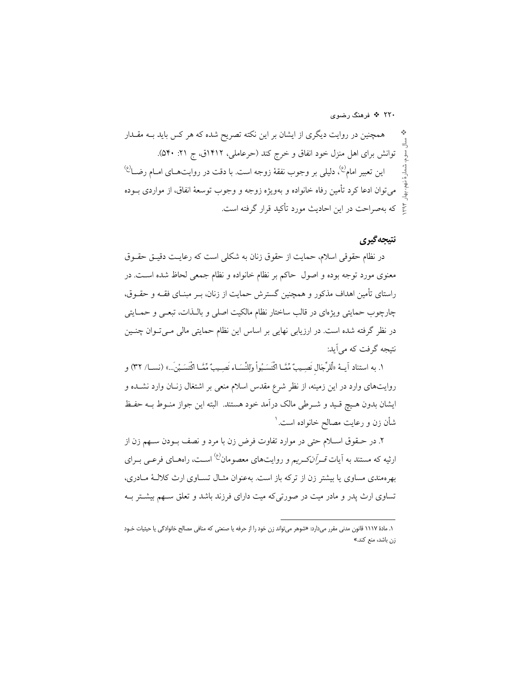۲۲۰ \* فرهنگ رضوی

همچنین در روایت دیگری از ایشان بر این نکته تصریح شده که هر کس باید بــه مقــدار توانش برای اهل منزل خود انفاق و خرج کند (حرعاملی، ۱۴۱۲ق، ج ۲۱: ۵۴۰). این تعبیر امام<sup>ع)</sup>، دلیلی بر وجوب نفقهٔ زوجه است. با دقت در روایتهــای امــام رضــا<sup>(ع)</sup> ميِّ توان ادعا كرد تأمين رفاه خانواده و بهويژه زوجه و وجوب توسعهٔ انفاق، از مواردي بــوده ع<br>ع که بهصراحت در این احادیث مورد تأکید قرار گرفته است.

## نتىجەگىرى

در نظام حقوقی اسلام، حمایت از حقوق زنان به شکلی است که رعایـت دقیـق حقــوق معنوی مورد توجه بوده و اصول حاکم بر نظام خانواده و نظام جمعی لحاظ شده است. در راستای تأمین اهداف مذکور و همچنین گسترش حمایت از زنان، بــر مبنــای فقــه و حقــوق، چارچوب حمایتی ویژهای در قالب ساختار نظام مالکیت اصلی و بالـذات، تبعـی و حمـایتی در نظر گرفته شده است. در ارزیابی نهایی بر اساس این نظام حمایتی مالی مـیتـوان چنـین نتيجه گرفت كه مي آيد:

١. به استناد آيــهٔ «لَّلرِّجَال نَصِـيبٌ مِّمَّــا اكْتَسَـبُواْ وَلِلنِّسَــاء نَصِـيبٌ مِّمَّــا اكْتَسَـبْن َ...» (نســا/ ٣٢) و روایتهای وارد در این زمینه، از نظر شرع مقدس اسلام منعی بر اشتغال زنـان وارد نشــده و ایشان بدون هـیچ قـید و شـرطی مالک درآمد خود هستند. البته این جواز منـوط بــه حفـظ شأن زن و رعايت مصالح خانواده است. `

۲. در حـقوق اسـلام حتى در موارد تفاوت فرض زن با مرد و نصف بــودن ســهم زن از ارثیه که مستند به آیات *قــرآنکــریم* و روایتهای معصومان<sup>(ع)</sup> اســت، راههــای فرعــی بــرای بهرهمندی مساوی یا بیشتر زن از ترکه باز است. بهعنوان مثـال تســاوی ارث کلالـهٔ مــادری، تساوی ارث پدر و مادر میت در صورتی که میت دارای فرزند باشد و تعلق سـهم بیشــتر بــه

۱. مادهٔ ۱۱۱۷ قانون مدنی مقرر میدارد: «شوهر می تواند زن خود را از حرفه یا صنعتی که منافی مصالح خانوادگی یا حیثیات خـود زن باشد، منع کند.»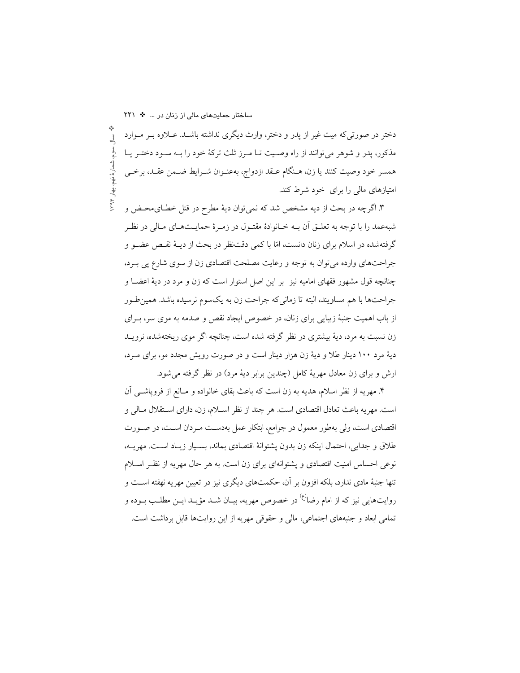دختر در صورتیکه میت غیر از پدر و دختر، وارث دیگری نداشته باشـد. عـلاوه بـر مـوارد 긬 مذکور، پدر و شوهر می توانند از راه وصـیت تــا مــرز ثلث ترکهٔ خود را بــه ســود دختــر یــا ، شمار هٔ نهم همسر خود وصيت كنند يا زن، هـنگام عــقد ازدواج، بهعنــوان شــرايط ضــمن عقــد، برخــي ، بهار ۱۳۹۴. امتیازهای مالی را برای خود شرط کند.

۳. اگرچه در بحث از دیه مشخص شد که نمیٍتوان دیهٔ مطرح در قتل خطـایمحـض و شبهعمد را با توجه به تعلــق آن بــه خــانوادهٔ مقتــول در زمــرهٔ حمایــتهــای مــالی در نظــر گرفتهشده در اسلام برای زنان دانست، امّا با کمی دقتنظر در بحث از دیــهٔ نقـص عضــو و جراحتهای وارده می توان به توجه و رعایت مصلحت اقتصادی زن از سوی شارع پی برد، چنانچه قول مشهور فقهای امامیه نیز بر این اصل استوار است که زن و مرد در دیهٔ اعضــا و جراحتها با هم مساويند، البته تا زماني كه جراحت زن به يكسوم نرسيده باشد. همين طور از باب اهمیت جنبهٔ زیبایی برای زنان، در خصوص ایجاد نقص و صدمه به موی سر، بـرای زن نسبت به مرد، دیهٔ بیشتری در نظر گرفته شده است، چنانچه اگر موی ریختهشده، نرویــد دیهٔ مرد ۱۰۰ دینار طلا و دیهٔ زن هزار دینار است و در صورت رویش مجدد مو، برای مـرد، ارش و برای زن معادل مهریهٔ کامل (چندین برابر دیهٔ مرد) در نظر گرفته می شود.

۴. مهريه از نظر اسلام، هديه به زن است كه باعث بقاى خانواده و مـانع از فروپاشـــی آن است. مهريه باعث تعادل اقتصادي است. هر چند از نظر اسـلام، زن، داراي اسـتقلال مـالي و اقتصادی است، ولی بهطور معمول در جوامع، ابتکار عمل بهدست مـردان اسـت، در صـورت طلاق و جدایی، احتمال اینکه زن بدون پشتوانهٔ اقتصادی بماند، بسـیار زیـاد اسـت. مهریـه، نوعی احساس امنیت اقتصادی و یشتوانهای برای زن است. به هر حال مهریه از نظـر اســلام تنها جنبهٔ مادی ندارد، بلکه افزون بر آن، حکمتهای دیگری نیز در تعیین مهریه نهفته است و روایتهایی نیز که از امام رضا<sup>(ع)</sup> در خصوص مهریه، بیـان شــد مؤیــد ایــن مطلــب بــوده و تمامی ابعاد و جنبههای اجتماعی، مالی و حقوقی مهریه از این روایتها قابل برداشت است.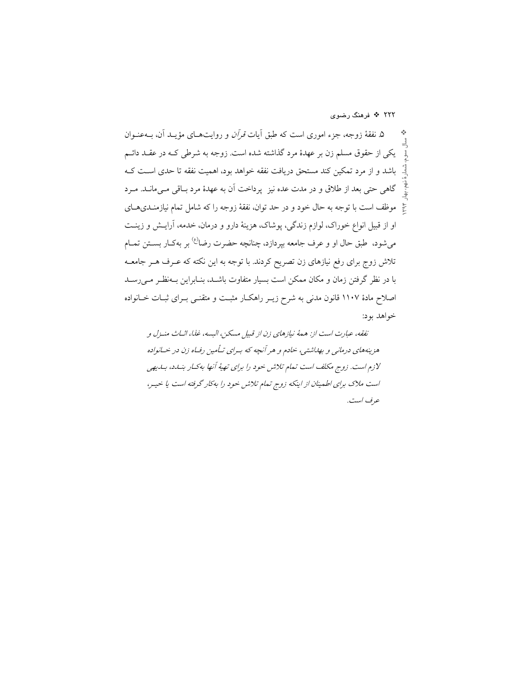۲۲۲ ÷ فرهنگ رضوی

۵. نفقهٔ زوجه، جزء اموری است که طبق آیات *قرآن* و روایتهـای مؤیــد آن، بــهعنــوان یکی از حقوق مسلم زن بر عهدهٔ مرد گذاشته شده است. زوجه به شرطی کـه در عقـد دائـم باشد و از مرد تمکین کند مستحق دریافت نفقه خواهد بود، اهمیت نفقه تا حدی اسـت کـه گاهی حتی بعد از طلاق و در مدت عده نیز پرداخت آن به عهدهٔ مرد بـاقی مـی،مانــد. مــرد  $\widetilde{\mathcal{A}}$ موظف است با توجه به حال خود و در حد توان، نفقهٔ زوجه را که شامل تمام نیازمنـدیهـای او از قبیل انواع خوراک، لوازم زندگی، پوشاک، هزینهٔ دارو و درمان، خدمه، آرایـش و زینـت می شود، طبق حال او و عرف جامعه بیردازد، چنانچه حضرت رضا<sup>ع)</sup> بر بهکـار بســتن تمــام تلاش زوج برای رفع نیازهای زن تصریح کردند. با توجه به این نکته که عـرف هـر جامعــه با در نظر گرفتن زمان و مکان ممکن است بسیار متفاوت باشـد، بنـابراین بـهنظـر مـی(سـد اصلاح مادهٔ ۱۱۰۷ قانون مدنی به شرح زیـر راهکـار مثبـت و متقنـی بـرای ثبـات خــانواده خواهد بود:

نفقه، عبارت است از: همهٔ نیازهای زن از قبیل مسکن، البسه، غذا، اثباث منزل و هزینههای درمانی و بهلاشتی، خادم و هر آنچه که بهرای تاُمین رفاه زن در خانواده لازم است. زوج مکلف است تمام تلاش خود را برای تهیهٔ آنها به کسار بنساد، بسایهی است ملاک برای اطمینان از اینکه زوج تمام تلاش خود را بهکار گرفته است یا خیـر، عرف است.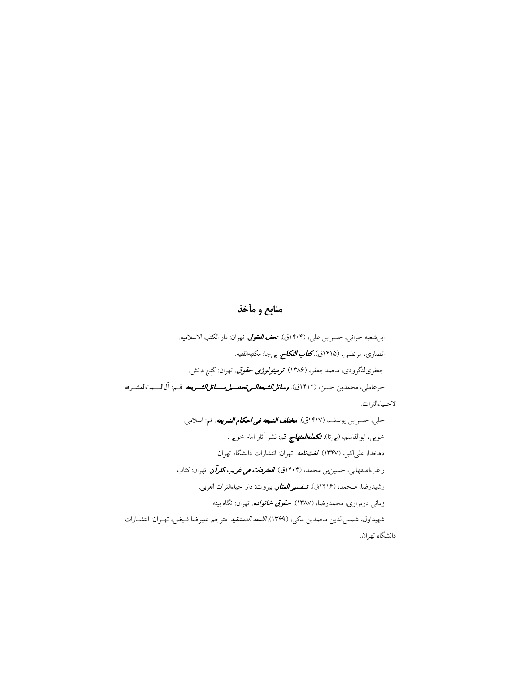## منابع و مأخذ

ابن شعبه حراني، حسن بن علي، (١۴٠۴ق). تع*ف العقول.* تهران: دار الكتب الاسلاميه. انصاری، مرتضی، (۱۴۱۵ق).**کت***اب النکاح. بی*جا: مکتبهالفقیه. جعفریلنگرودی، محمدجعفر، (۱۳۸۶). ت**ر***مینولوژی حقوق. ت*هران: گنج دانش. حرعاملي، محمدبن حسن، (۱۴۱۲ق). *وسائلالشيعهالـي تحصـيل مســائل|لشـريعه.* قـم: آل|لبــيت|لمشـرفه لاحـياءالتراث.